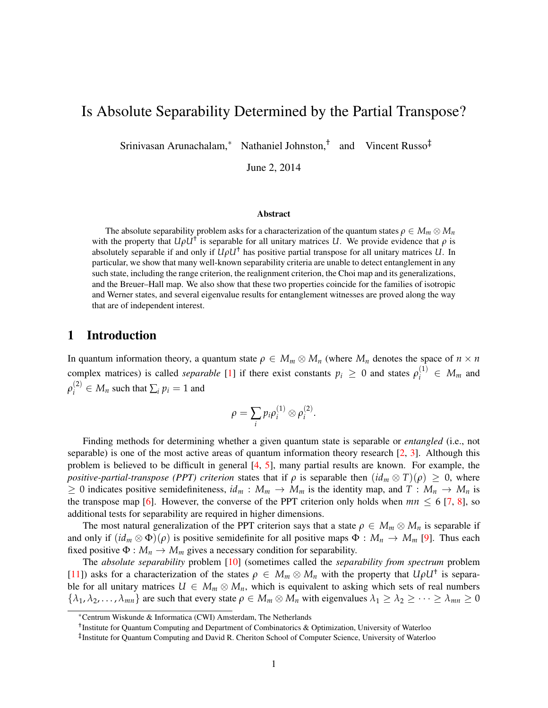# Is Absolute Separability Determined by the Partial Transpose?

Srinivasan Arunachalam,<sup>\*</sup> Nathaniel Johnston,<sup>†</sup> and Vincent Russo<sup>‡</sup>

June 2, 2014

#### Abstract

The absolute separability problem asks for a characterization of the quantum states  $\rho \in M_m \otimes M_n$ with the property that  $U\rho U^{\dagger}$  is separable for all unitary matrices *U*. We provide evidence that  $\rho$  is absolutely separable if and only if *UρU*† has positive partial transpose for all unitary matrices *U*. In particular, we show that many well-known separability criteria are unable to detect entanglement in any such state, including the range criterion, the realignment criterion, the Choi map and its generalizations, and the Breuer–Hall map. We also show that these two properties coincide for the families of isotropic and Werner states, and several eigenvalue results for entanglement witnesses are proved along the way that are of independent interest.

## 1 Introduction

In quantum information theory, a quantum state  $\rho \in M_m \otimes M_n$  (where  $M_n$  denotes the space of  $n \times n$ complex matrices) is called *separable* [\[1\]](#page-19-0) if there exist constants  $p_i \geq 0$  and states  $\rho_i^{(1)} \in M_m$  and  $\rho_i^{(2)} \in M_n$  such that  $\sum_i p_i = 1$  and

$$
\rho=\sum_i p_i \rho_i^{(1)}\otimes\rho_i^{(2)}.
$$

Finding methods for determining whether a given quantum state is separable or *entangled* (i.e., not separable) is one of the most active areas of quantum information theory research  $[2, 3]$  $[2, 3]$  $[2, 3]$ . Although this problem is believed to be difficult in general [\[4,](#page-20-0) [5\]](#page-20-1), many partial results are known. For example, the *positive-partial-transpose (PPT) criterion* states that if  $\rho$  is separable then  $(id_m \otimes T)(\rho) \geq 0$ , where  $\geq$  0 indicates positive semidefiniteness,  $id_m : M_m \to M_m$  is the identity map, and  $T : M_n \to M_n$  is the transpose map [\[6\]](#page-20-2). However, the converse of the PPT criterion only holds when  $mn \leq 6$  [\[7,](#page-20-3) [8\]](#page-20-4), so additional tests for separability are required in higher dimensions.

The most natural generalization of the PPT criterion says that a state  $\rho \in M_m \otimes M_n$  is separable if and only if  $(id_m \otimes \Phi)(\rho)$  is positive semidefinite for all positive maps  $\Phi : M_n \to M_m$  [\[9\]](#page-20-5). Thus each fixed positive  $\Phi : M_n \to M_m$  gives a necessary condition for separability.

The *absolute separability* problem [\[10\]](#page-20-6) (sometimes called the *separability from spectrum* problem [\[11\]](#page-20-7)) asks for a characterization of the states  $\rho \in M_m \otimes M_n$  with the property that  $U \rho U^{\dagger}$  is separable for all unitary matrices  $U \in M_m \otimes M_n$ , which is equivalent to asking which sets of real numbers  $\{\lambda_1, \lambda_2, \ldots, \lambda_{mn}\}$  are such that every state  $\rho \in M_m \otimes M_n$  with eigenvalues  $\lambda_1 \geq \lambda_2 \geq \cdots \geq \lambda_{mn} \geq 0$ 

<sup>∗</sup>Centrum Wiskunde & Informatica (CWI) Amsterdam, The Netherlands

<sup>†</sup> Institute for Quantum Computing and Department of Combinatorics & Optimization, University of Waterloo

<sup>‡</sup> Institute for Quantum Computing and David R. Cheriton School of Computer Science, University of Waterloo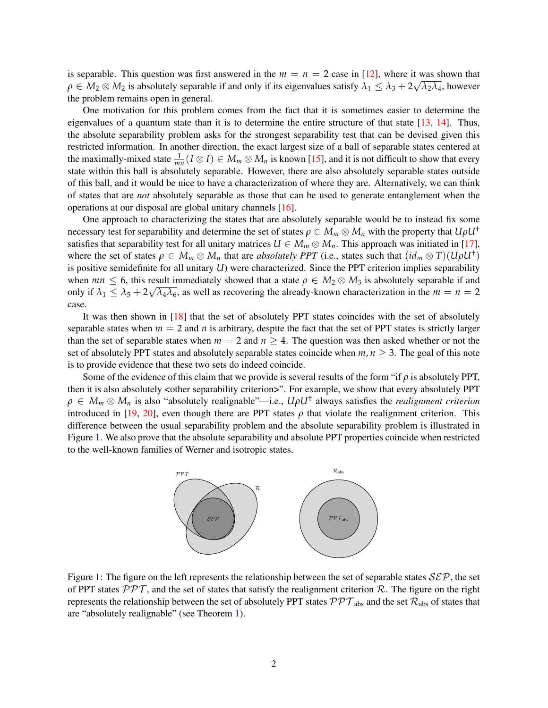is separable. This question was first answered in the  $m = n = 2$  case in [\[12\]](#page-20-8), where it was shown that  $\rho \in M_2 \otimes M_2$  is absolutely separable if and only if its eigenvalues satisfy  $\lambda_1 \leq \lambda_3 + 2\sqrt{\lambda_2\lambda_4}$ , however the problem remains open in general.

One motivation for this problem comes from the fact that it is sometimes easier to determine the eigenvalues of a quantum state than it is to determine the entire structure of that state  $[13, 14]$  $[13, 14]$  $[13, 14]$ . Thus, the absolute separability problem asks for the strongest separability test that can be devised given this restricted information. In another direction, the exact largest size of a ball of separable states centered at the maximally-mixed state  $\frac{1}{mn}(I \otimes I) \in M_m \otimes M_n$  is known [\[15\]](#page-20-11), and it is not difficult to show that every state within this ball is absolutely separable. However, there are also absolutely separable states outside of this ball, and it would be nice to have a characterization of where they are. Alternatively, we can think of states that are *not* absolutely separable as those that can be used to generate entanglement when the operations at our disposal are global unitary channels [\[16\]](#page-20-12).

One approach to characterizing the states that are absolutely separable would be to instead fix some necessary test for separability and determine the set of states  $\rho \in M_m \otimes M_n$  with the property that  $U \rho U^{\dagger}$ satisfies that separability test for all unitary matrices  $U \in M_m \otimes M_n$ . This approach was initiated in [\[17\]](#page-20-13), where the set of states  $\rho \in M_m \otimes M_n$  that are *absolutely PPT* (i.e., states such that  $(id_m \otimes T)(U\rho U^{\dagger})$ is positive semidefinite for all unitary *U*) were characterized. Since the PPT criterion implies separability when  $mn \leq 6$ , this result immediately showed that a state  $\rho \in M_2 \otimes M_3$  is absolutely separable if and only if  $\lambda_1 \leq \lambda_5 + 2\sqrt{\lambda_4 \lambda_6}$ , as well as recovering the already-known characterization in the  $m = n = 2$ case.

It was then shown in [\[18\]](#page-20-14) that the set of absolutely PPT states coincides with the set of absolutely separable states when  $m = 2$  and *n* is arbitrary, despite the fact that the set of PPT states is strictly larger than the set of separable states when  $m = 2$  and  $n \ge 4$ . The question was then asked whether or not the set of absolutely PPT states and absolutely separable states coincide when  $m, n \geq 3$ . The goal of this note is to provide evidence that these two sets do indeed coincide.

Some of the evidence of this claim that we provide is several results of the form "if *ρ* is absolutely PPT, then it is also absolutely <other separability criterion>". For example, we show that every absolutely PPT *ρ* ∈ *M<sup>m</sup>* ⊗ *M<sup>n</sup>* is also "absolutely realignable"—i.e., *UρU*† always satisfies the *realignment criterion* introduced in [\[19,](#page-20-15) [20\]](#page-20-16), even though there are PPT states  $\rho$  that violate the realignment criterion. This difference between the usual separability problem and the absolute separability problem is illustrated in Figure [1.](#page-1-0) We also prove that the absolute separability and absolute PPT properties coincide when restricted to the well-known families of Werner and isotropic states.



<span id="page-1-0"></span>Figure 1: The figure on the left represents the relationship between the set of separable states  $\mathcal{S}\mathcal{E}\mathcal{P}$ , the set of PPT states  $PPT$ , and the set of states that satisfy the realignment criterion R. The figure on the right represents the relationship between the set of absolutely PPT states  $\mathcal{PPT}_{abs}$  and the set  $\mathcal{R}_{abs}$  of states that are "absolutely realignable" (see Theorem [1\)](#page-8-0).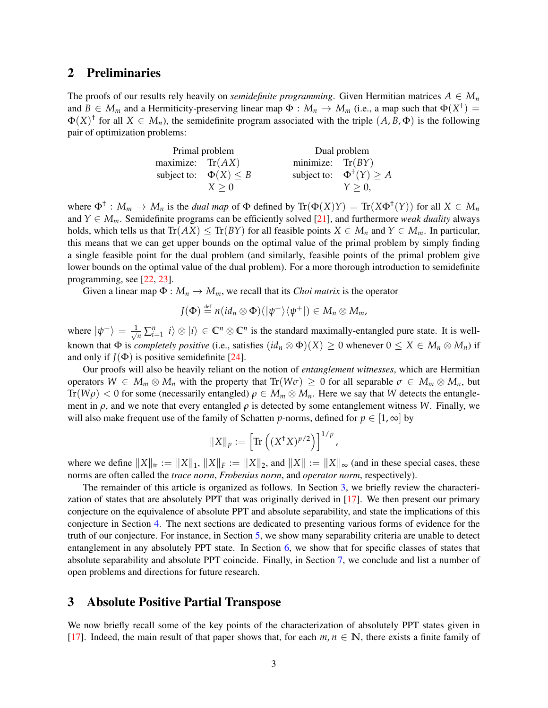## 2 Preliminaries

The proofs of our results rely heavily on *semidefinite programming*. Given Hermitian matrices  $A \in M_n$ and  $B \in M_m$  and a Hermiticity-preserving linear map  $\Phi : M_n \to M_m$  (i.e., a map such that  $\Phi(X^{\dagger}) =$  $\Phi(X)^{\dagger}$  for all  $X \in M_n$ ), the semidefinite program associated with the triple  $(A, B, \Phi)$  is the following pair of optimization problems:

|                    | Primal problem               |                    | Dual problem                           |
|--------------------|------------------------------|--------------------|----------------------------------------|
| maximize: $Tr(AX)$ |                              | minimize: $Tr(BY)$ |                                        |
|                    | subject to: $\Phi(X) \leq B$ |                    | subject to: $\Phi^{\dagger}(Y) \geq A$ |
|                    | $X \geq 0$                   |                    | $Y > 0$ ,                              |

where  $\Phi^{\dagger}$ :  $M_m \to M_n$  is the *dual map* of  $\Phi$  defined by  $\text{Tr}(\Phi(X)Y) = \text{Tr}(X\Phi^{\dagger}(Y))$  for all  $X \in M_n$ and  $Y \in M_m$ . Semidefinite programs can be efficiently solved [\[21\]](#page-20-17), and furthermore *weak duality* always holds, which tells us that  $Tr(AX) \leq Tr(BY)$  for all feasible points  $X \in M_n$  and  $Y \in M_m$ . In particular, this means that we can get upper bounds on the optimal value of the primal problem by simply finding a single feasible point for the dual problem (and similarly, feasible points of the primal problem give lower bounds on the optimal value of the dual problem). For a more thorough introduction to semidefinite programming, see [\[22,](#page-20-18) [23\]](#page-21-0).

Given a linear map  $\Phi : M_n \to M_m$ , we recall that its *Choi matrix* is the operator

$$
J(\Phi) \stackrel{\text{def}}{=} n(id_n \otimes \Phi)(|\psi^+\rangle\langle\psi^+|) \in M_n \otimes M_m,
$$

where  $|\psi^{+}\rangle = \frac{1}{\sqrt{n}}\sum_{i=1}^{n}|i\rangle\otimes|i\rangle \in \mathbb{C}^{n}\otimes \mathbb{C}^{n}$  is the standard maximally-entangled pure state. It is wellknown that  $\Phi$  is *completely positive* (i.e., satisfies  $(id_n \otimes \Phi)(X) \geq 0$  whenever  $0 \leq X \in M_n \otimes M_n$ ) if and only if  $J(\Phi)$  is positive semidefinite [\[24\]](#page-21-1).

Our proofs will also be heavily reliant on the notion of *entanglement witnesses*, which are Hermitian operators  $W \in M_m \otimes M_n$  with the property that  $Tr(W\sigma) \geq 0$  for all separable  $\sigma \in M_m \otimes M_n$ , but Tr( $W\rho$ ) < 0 for some (necessarily entangled)  $\rho \in M_m \otimes M_n$ . Here we say that *W* detects the entanglement in  $\rho$ , and we note that every entangled  $\rho$  is detected by some entanglement witness *W*. Finally, we will also make frequent use of the family of Schatten *p*-norms, defined for  $p \in [1, \infty]$  by

$$
||X||_p := \left[\text{Tr}\left((X^{\dagger}X)^{p/2}\right)\right]^{1/p},
$$

where we define  $||X||_{tr} := ||X||_1$ ,  $||X||_F := ||X||_2$ , and  $||X|| := ||X||_{\infty}$  (and in these special cases, these norms are often called the *trace norm*, *Frobenius norm*, and *operator norm*, respectively).

The remainder of this article is organized as follows. In Section [3,](#page-2-0) we briefly review the characterization of states that are absolutely PPT that was originally derived in [\[17\]](#page-20-13). We then present our primary conjecture on the equivalence of absolute PPT and absolute separability, and state the implications of this conjecture in Section [4.](#page-4-0) The next sections are dedicated to presenting various forms of evidence for the truth of our conjecture. For instance, in Section [5,](#page-5-0) we show many separability criteria are unable to detect entanglement in any absolutely PPT state. In Section [6,](#page-16-0) we show that for specific classes of states that absolute separability and absolute PPT coincide. Finally, in Section [7,](#page-19-3) we conclude and list a number of open problems and directions for future research.

## <span id="page-2-0"></span>3 Absolute Positive Partial Transpose

We now briefly recall some of the key points of the characterization of absolutely PPT states given in [\[17\]](#page-20-13). Indeed, the main result of that paper shows that, for each  $m, n \in \mathbb{N}$ , there exists a finite family of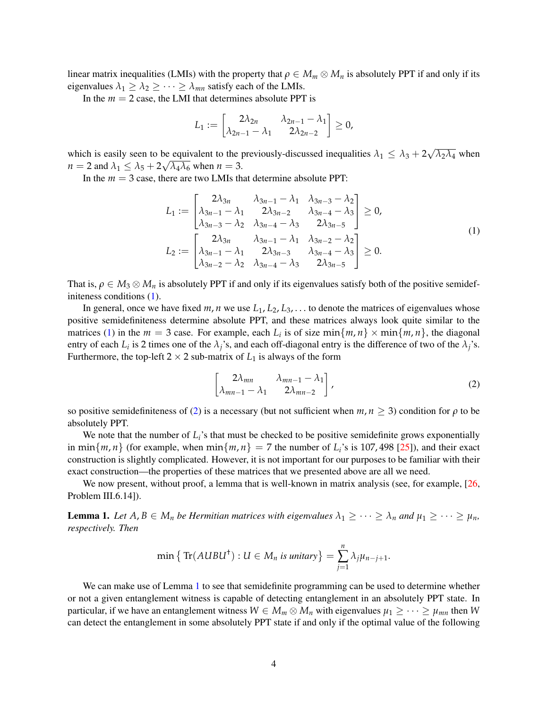linear matrix inequalities (LMIs) with the property that  $\rho \in M_m \otimes M_n$  is absolutely PPT if and only if its eigenvalues  $\lambda_1 \geq \lambda_2 \geq \cdots \geq \lambda_{mn}$  satisfy each of the LMIs.

In the  $m = 2$  case, the LMI that determines absolute PPT is

<span id="page-3-0"></span>
$$
L_1:=\begin{bmatrix}2\lambda_{2n} & \lambda_{2n-1}-\lambda_1\\ \lambda_{2n-1}-\lambda_1 & 2\lambda_{2n-2}\end{bmatrix}\geq 0,
$$

which is easily seen to be equivalent to the previously-discussed inequalities  $\lambda_1 \leq \lambda_3 + 2$ √ be equivalent to the previously-discussed inequalities  $\lambda_1 \leq \lambda_3 + 2\sqrt{\lambda_2\lambda_4}$  when  $n = 2$  and  $\lambda_1 \leq \lambda_5 + 2\sqrt{\lambda_4 \lambda_6}$  when  $n = 3$ .

In the  $m = 3$  case, there are two LMIs that determine absolute PPT:

$$
L_{1} := \begin{bmatrix} 2\lambda_{3n} & \lambda_{3n-1} - \lambda_{1} & \lambda_{3n-3} - \lambda_{2} \\ \lambda_{3n-1} - \lambda_{1} & 2\lambda_{3n-2} & \lambda_{3n-4} - \lambda_{3} \\ \lambda_{3n-3} - \lambda_{2} & \lambda_{3n-4} - \lambda_{3} & 2\lambda_{3n-5} \end{bmatrix} \ge 0,
$$
  
\n
$$
L_{2} := \begin{bmatrix} 2\lambda_{3n} & \lambda_{3n-1} - \lambda_{1} & \lambda_{3n-2} - \lambda_{2} \\ \lambda_{3n-1} - \lambda_{1} & 2\lambda_{3n-3} & \lambda_{3n-4} - \lambda_{3} \\ \lambda_{3n-2} - \lambda_{2} & \lambda_{3n-4} - \lambda_{3} & 2\lambda_{3n-5} \end{bmatrix} \ge 0.
$$
\n(1)

That is,  $\rho \in M_3 \otimes M_n$  is absolutely PPT if and only if its eigenvalues satisfy both of the positive semidefiniteness conditions [\(1\)](#page-3-0).

In general, once we have fixed  $m$ ,  $n$  we use  $L_1$ ,  $L_2$ ,  $L_3$ , ... to denote the matrices of eigenvalues whose positive semidefiniteness determine absolute PPT, and these matrices always look quite similar to the matrices [\(1\)](#page-3-0) in the  $m = 3$  case. For example, each  $L_i$  is of size  $\min\{m, n\} \times \min\{m, n\}$ , the diagonal entry of each  $L_i$  is 2 times one of the  $\lambda_j$ 's, and each off-diagonal entry is the difference of two of the  $\lambda_j$ 's. Furthermore, the top-left  $2 \times 2$  sub-matrix of  $L_1$  is always of the form

<span id="page-3-1"></span>
$$
\begin{bmatrix}\n2\lambda_{mn} & \lambda_{mn-1} - \lambda_1 \\
\lambda_{mn-1} - \lambda_1 & 2\lambda_{mn-2}\n\end{bmatrix},
$$
\n(2)

so positive semidefiniteness of [\(2\)](#page-3-1) is a necessary (but not sufficient when  $m, n \geq 3$ ) condition for  $\rho$  to be absolutely PPT.

We note that the number of  $L_i$ 's that must be checked to be positive semidefinite grows exponentially in min $\{m, n\}$  (for example, when min $\{m, n\} = 7$  the number of  $L_i$ 's is 107, 498 [\[25\]](#page-21-2)), and their exact construction is slightly complicated. However, it is not important for our purposes to be familiar with their exact construction—the properties of these matrices that we presented above are all we need.

We now present, without proof, a lemma that is well-known in matrix analysis (see, for example, [\[26,](#page-21-3) Problem III.6.14]).

<span id="page-3-2"></span>**Lemma 1.** Let  $A, B \in M_n$  be Hermitian matrices with eigenvalues  $\lambda_1 \geq \cdots \geq \lambda_n$  and  $\mu_1 \geq \cdots \geq \mu_n$ , *respectively. Then*

$$
\min\big\{\operatorname{Tr}(AUBU^{\dagger}):U\in M_n\text{ is unitary}\big\}=\sum_{j=1}^n\lambda_j\mu_{n-j+1}.
$$

We can make use of Lemma [1](#page-3-2) to see that semidefinite programming can be used to determine whether or not a given entanglement witness is capable of detecting entanglement in an absolutely PPT state. In particular, if we have an entanglement witness  $W \in M_m \otimes M_n$  with eigenvalues  $\mu_1 \geq \cdots \geq \mu_{mn}$  then *W* can detect the entanglement in some absolutely PPT state if and only if the optimal value of the following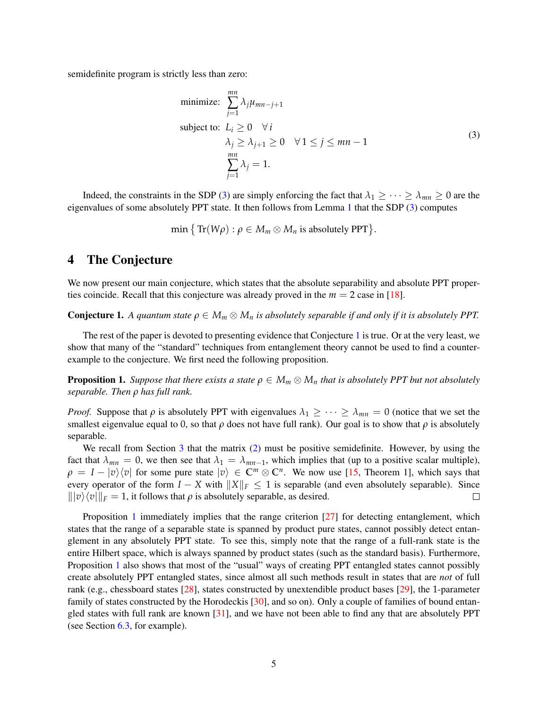semidefinite program is strictly less than zero:

<span id="page-4-1"></span>minimize: 
$$
\sum_{j=1}^{mn} \lambda_j \mu_{mn-j+1}
$$
  
\nsubject to:  $L_i \ge 0 \quad \forall i$   
\n
$$
\lambda_j \ge \lambda_{j+1} \ge 0 \quad \forall 1 \le j \le mn - 1
$$
  
\n
$$
\sum_{j=1}^{mn} \lambda_j = 1.
$$
\n(3)

Indeed, the constraints in the SDP [\(3\)](#page-4-1) are simply enforcing the fact that  $\lambda_1 \geq \cdots \geq \lambda_{mn} \geq 0$  are the eigenvalues of some absolutely PPT state. It then follows from Lemma [1](#page-3-2) that the SDP [\(3\)](#page-4-1) computes

$$
\min\big\{\operatorname{Tr}(W\rho):\rho\in M_m\otimes M_n\text{ is absolutely PPT}\big\}.
$$

## <span id="page-4-0"></span>4 The Conjecture

We now present our main conjecture, which states that the absolute separability and absolute PPT properties coincide. Recall that this conjecture was already proved in the  $m = 2$  case in [\[18\]](#page-20-14).

<span id="page-4-2"></span>**Conjecture 1.** A quantum state  $\rho \in M_m \otimes M_n$  is absolutely separable if and only if it is absolutely PPT.

The rest of the paper is devoted to presenting evidence that Conjecture [1](#page-4-2) is true. Or at the very least, we show that many of the "standard" techniques from entanglement theory cannot be used to find a counterexample to the conjecture. We first need the following proposition.

<span id="page-4-3"></span>**Proposition 1.** Suppose that there exists a state  $\rho \in M_m \otimes M_n$  that is absolutely PPT but not absolutely *separable. Then ρ has full rank.*

*Proof.* Suppose that  $\rho$  is absolutely PPT with eigenvalues  $\lambda_1 \geq \cdots \geq \lambda_{mn} = 0$  (notice that we set the smallest eigenvalue equal to 0, so that  $\rho$  does not have full rank). Our goal is to show that  $\rho$  is absolutely separable.

We recall from Section [3](#page-2-0) that the matrix [\(2\)](#page-3-1) must be positive semidefinite. However, by using the fact that  $\lambda_{mn} = 0$ , we then see that  $\lambda_1 = \lambda_{mn-1}$ , which implies that (up to a positive scalar multiple),  $\rho = I - |v\rangle\langle v|$  for some pure state  $|v\rangle \in \mathbb{C}^m \otimes \mathbb{C}^n$ . We now use [\[15,](#page-20-11) Theorem 1], which says that every operator of the form  $I - X$  with  $||X||_F \le 1$  is separable (and even absolutely separable). Since  $\|v\rangle\langle v\|_F = 1$ , it follows that  $\rho$  is absolutely separable, as desired.  $\Box$ 

Proposition [1](#page-4-3) immediately implies that the range criterion [\[27\]](#page-21-4) for detecting entanglement, which states that the range of a separable state is spanned by product pure states, cannot possibly detect entanglement in any absolutely PPT state. To see this, simply note that the range of a full-rank state is the entire Hilbert space, which is always spanned by product states (such as the standard basis). Furthermore, Proposition [1](#page-4-3) also shows that most of the "usual" ways of creating PPT entangled states cannot possibly create absolutely PPT entangled states, since almost all such methods result in states that are *not* of full rank (e.g., chessboard states [\[28\]](#page-21-5), states constructed by unextendible product bases [\[29\]](#page-21-6), the 1-parameter family of states constructed by the Horodeckis [\[30\]](#page-21-7), and so on). Only a couple of families of bound entangled states with full rank are known [\[31\]](#page-21-8), and we have not been able to find any that are absolutely PPT (see Section [6.3,](#page-18-0) for example).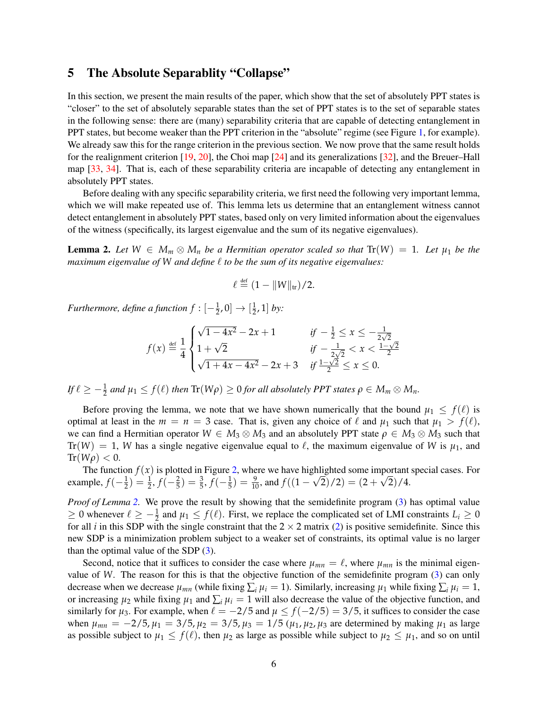## <span id="page-5-0"></span>5 The Absolute Separablity "Collapse"

In this section, we present the main results of the paper, which show that the set of absolutely PPT states is "closer" to the set of absolutely separable states than the set of PPT states is to the set of separable states in the following sense: there are (many) separability criteria that are capable of detecting entanglement in PPT states, but become weaker than the PPT criterion in the "absolute" regime (see Figure [1,](#page-1-0) for example). We already saw this for the range criterion in the previous section. We now prove that the same result holds for the realignment criterion [\[19,](#page-20-15) [20\]](#page-20-16), the Choi map [\[24\]](#page-21-1) and its generalizations [\[32\]](#page-21-9), and the Breuer–Hall map [\[33,](#page-21-10) [34\]](#page-21-11). That is, each of these separability criteria are incapable of detecting any entanglement in absolutely PPT states.

Before dealing with any specific separability criteria, we first need the following very important lemma, which we will make repeated use of. This lemma lets us determine that an entanglement witness cannot detect entanglement in absolutely PPT states, based only on very limited information about the eigenvalues of the witness (specifically, its largest eigenvalue and the sum of its negative eigenvalues).

<span id="page-5-1"></span>**Lemma 2.** Let  $W \in M_m \otimes M_n$  be a Hermitian operator scaled so that  $Tr(W) = 1$ . Let  $\mu_1$  be the *maximum eigenvalue of* W *and define*  $\ell$  *to be the sum of its negative eigenvalues:* 

$$
\ell \stackrel{\text{def}}{=} (1 - \|W\|_{\text{tr}})/2.
$$

*Furthermore, define a function*  $f: [-\frac{1}{2}, 0] \rightarrow [\frac{1}{2}]$  $\frac{1}{2}$ , 1] *by*:

$$
f(x) \stackrel{\text{def}}{=} \frac{1}{4} \begin{cases} \sqrt{1 - 4x^2} - 2x + 1 & \text{if } -\frac{1}{2} \le x \le -\frac{1}{2\sqrt{2}}\\ 1 + \sqrt{2} & \text{if } -\frac{1}{2\sqrt{2}} < x < \frac{1 - \sqrt{2}}{2}\\ \sqrt{1 + 4x - 4x^2} - 2x + 3 & \text{if } \frac{1 - \sqrt{2}}{2} \le x \le 0. \end{cases}
$$

 $I f \ell \geq -\frac{1}{2}$  and  $\mu_1 \leq f(\ell)$  then  $\text{Tr}(W\rho) \geq 0$  for all absolutely PPT states  $\rho \in M_m \otimes M_n$ .

Before proving the lemma, we note that we have shown numerically that the bound  $\mu_1 \leq f(\ell)$  is optimal at least in the  $m = n = 3$  case. That is, given any choice of  $\ell$  and  $\mu_1$  such that  $\mu_1 > f(\ell)$ , we can find a Hermitian operator  $W \in M_3 \otimes M_3$  and an absolutely PPT state  $\rho \in M_3 \otimes M_3$  such that  $Tr(W) = 1$ , *W* has a single negative eigenvalue equal to  $\ell$ , the maximum eigenvalue of *W* is  $\mu_1$ , and  $\text{Tr}(W\rho) < 0.$ 

The function  $f(x)$  is plotted in Figure [2,](#page-6-0) where we have highlighted some important special cases. For example,  $f(-\frac{1}{2}) = \frac{1}{2}$ ,  $f(-\frac{2}{5}) = \frac{3}{5}$ ,  $f(-\frac{1}{5}) = \frac{9}{10}$ , and  $f((1 -$ √  $(2)$  $(2)$  =  $(2)$ <sup>i</sup>po  $2)/4.$ 

*Proof of Lemma [2.](#page-5-1)* We prove the result by showing that the semidefinite program [\(3\)](#page-4-1) has optimal value  $≥$  0 whenever  $\ell ≥ -\frac{1}{2}$  and  $\mu_1 ≤ f(\ell)$ . First, we replace the complicated set of LMI constraints  $L_i ≥ 0$ for all *i* in this SDP with the single constraint that the  $2 \times 2$  matrix [\(2\)](#page-3-1) is positive semidefinite. Since this new SDP is a minimization problem subject to a weaker set of constraints, its optimal value is no larger than the optimal value of the SDP  $(3)$ .

Second, notice that it suffices to consider the case where  $\mu_{mn} = \ell$ , where  $\mu_{mn}$  is the minimal eigenvalue of *W*. The reason for this is that the objective function of the semidefinite program [\(3\)](#page-4-1) can only decrease when we decrease  $\mu_{mn}$  (while fixing  $\sum_i \mu_i = 1$ ). Similarly, increasing  $\mu_1$  while fixing  $\sum_i \mu_i = 1$ , or increasing  $\mu_2$  while fixing  $\mu_1$  and  $\sum_i \mu_i = 1$  will also decrease the value of the objective function, and similarly for  $\mu_3$ . For example, when  $\ell = -2/5$  and  $\mu \le f(-2/5) = 3/5$ , it suffices to consider the case when  $\mu_{mn} = -2/5$ ,  $\mu_1 = 3/5$ ,  $\mu_2 = 3/5$ ,  $\mu_3 = 1/5$  ( $\mu_1$ ,  $\mu_2$ ,  $\mu_3$  are determined by making  $\mu_1$  as large as possible subject to  $\mu_1 \leq f(\ell)$ , then  $\mu_2$  as large as possible while subject to  $\mu_2 \leq \mu_1$ , and so on until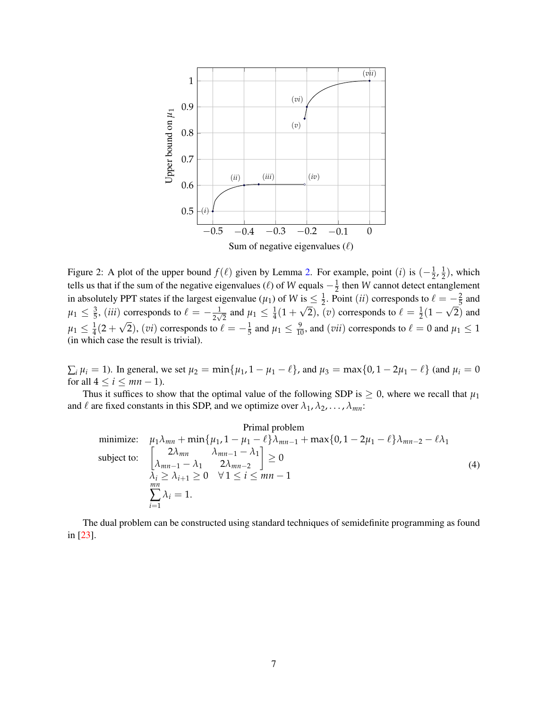

<span id="page-6-0"></span>Figure 2: A plot of the upper bound  $f(\ell)$  given by Lemma [2.](#page-5-1) For example, point (*i*) is  $\left(-\frac{1}{2},\frac{1}{2}\right)$  $\frac{1}{2}$ ), which tells us that if the sum of the negative eigenvalues ( $\ell$ ) of *W* equals  $-\frac{1}{2}$  then *W* cannot detect entanglement in absolutely PPT states if the largest eigenvalue ( $\mu_1$ ) of *W* is  $\leq \frac{1}{2}$ . Point (*ii*) corresponds to  $\ell = -\frac{2}{5}$  and  $\mu_1 \leq \frac{3}{5}$ , (*iii*) corresponds to  $\ell = -\frac{1}{2\sqrt{2}}$  and  $\mu_1 \leq \frac{1}{4}(1 +$  $\frac{15}{10}$  $\overline{2}$ ), (*v*) corresponds to  $\ell = \frac{1}{2}(1 - \frac{1}{2})$ √ 2) and  $\mu_1 \leq \frac{1}{4}(2 +$ √  $(2)$ ,  $(vi)$  corresponds to  $\ell = -\frac{1}{5}$  and  $\mu_1 \le \frac{9}{10}$ , and  $(vii)$  corresponds to  $\ell = 0$  and  $\mu_1 \le 1$ (in which case the result is trivial).

 $\sum_i \mu_i = 1$ ). In general, we set  $\mu_2 = \min\{\mu_1, 1 - \mu_1 - \ell\}$ , and  $\mu_3 = \max\{0, 1 - 2\mu_1 - \ell\}$  (and  $\mu_i = 0$ for all  $4 \leq i \leq mn - 1$ .

Thus it suffices to show that the optimal value of the following SDP is  $\geq 0$ , where we recall that  $\mu_1$ and  $\ell$  are fixed constants in this SDP, and we optimize over  $\lambda_1, \lambda_2, \ldots, \lambda_{mn}$ :

<span id="page-6-1"></span>
$$
\text{Primal problem}
$$
\n
$$
\text{minimize:} \quad \mu_1 \lambda_{mn} + \min \{ \mu_1, 1 - \mu_1 - \ell \} \lambda_{mn-1} + \max \{ 0, 1 - 2\mu_1 - \ell \} \lambda_{mn-2} - \ell \lambda_1
$$
\n
$$
\text{subject to:} \quad \begin{bmatrix} 2\lambda_{mn} & \lambda_{mn-1} - \lambda_1 \\ \lambda_{mn-1} - \lambda_1 & 2\lambda_{mn-2} \\ \lambda_i \ge \lambda_{i+1} \ge 0 & \forall 1 \le i \le mn - 1 \end{bmatrix} \ge 0 \tag{4}
$$
\n
$$
\sum_{i=1}^{mn} \lambda_i = 1.
$$

The dual problem can be constructed using standard techniques of semidefinite programming as found in [\[23\]](#page-21-0).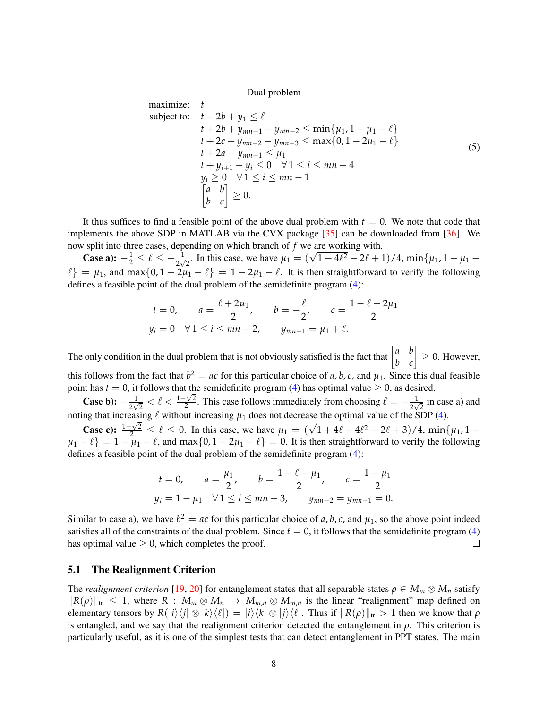Dual problem

maximize: 
$$
t
$$
  
\nsubject to:  $t - 2b + y_1 \le \ell$   
\n $t + 2b + y_{mn-1} - y_{mn-2} \le \min\{\mu_1, 1 - \mu_1 - \ell\}$   
\n $t + 2c + y_{mn-2} - y_{mn-3} \le \max\{0, 1 - 2\mu_1 - \ell\}$   
\n $t + 2a - y_{mn-1} \le \mu_1$   
\n $t + y_{i+1} - y_i \le 0 \quad \forall 1 \le i \le mn - 4$   
\n $y_i \ge 0 \quad \forall 1 \le i \le mn - 1$   
\n $\begin{bmatrix} a & b \\ b & c \end{bmatrix} \ge 0.$  (5)

It thus suffices to find a feasible point of the above dual problem with  $t = 0$ . We note that code that implements the above SDP in MATLAB via the CVX package [\[35\]](#page-21-12) can be downloaded from [\[36\]](#page-21-13). We now split into three cases, depending on which branch of *f* we are working with.

Suppose a):  $-\frac{1}{2} \leq \ell \leq -\frac{1}{2\sqrt{2}}$ . In this case, we have  $\mu_1 = (\sqrt{1-4\ell^2}-2\ell+1)/4$ , min $\{\mu_1, 1 - \mu_1 - \ell\}$  $\ell$ } =  $\mu_1$ , and max{0, 1 - 2 $\mu_1 - \ell$ } = 1 - 2 $\mu_1 - \ell$ . It is then straightforward to verify the following defines a feasible point of the dual problem of the semidefinite program [\(4\)](#page-6-1):

$$
t = 0
$$
,  $a = \frac{\ell + 2\mu_1}{2}$ ,  $b = -\frac{\ell}{2}$ ,  $c = \frac{1 - \ell - 2\mu_1}{2}$   
 $y_i = 0 \quad \forall 1 \le i \le mn - 2$ ,  $y_{mn-1} = \mu_1 + \ell$ .

The only condition in the dual problem that is not obviously satisfied is the fact that  $\begin{bmatrix} a & b \\ b & c \end{bmatrix} \ge 0$ . However, this follows from the fact that  $b^2 = ac$  for this particular choice of *a*, *b*, *c*, and  $\mu_1$ . Since this dual feasible point has  $t = 0$ , it follows that the semidefinite program [\(4\)](#page-6-1) has optimal value  $\geq 0$ , as desired.

**Case b):**  $-\frac{1}{2\sqrt{2}} < l < \frac{1-\sqrt{2}}{2}$  $\frac{\sqrt{2}}{2}$ . This case follows immediately from choosing  $\ell = -\frac{1}{2\sqrt{2}}$  in case a) and noting that increasing  $\ell$  without increasing  $\mu_1$  does not decrease the optimal value of the SDP [\(4\)](#page-6-1).

Case c):  $\frac{1-\sqrt{2}}{2}$  $\frac{2\sqrt{2}}{2} \leq \ell \leq 0$ . In this case, we have  $\mu_1 = (\sqrt{1+4\ell-4\ell^2}-2\ell+3)/4$ , min{ $\mu_1$ , 1 –  $\mu_1 - \ell$ } = 1 –  $\mu_1 - \ell$ , and max $\{0, 1 - 2\mu_1 - \ell\}$  = 0. It is then straightforward to verify the following defines a feasible point of the dual problem of the semidefinite program [\(4\)](#page-6-1):

$$
t = 0, \qquad a = \frac{\mu_1}{2}, \qquad b = \frac{1 - \ell - \mu_1}{2}, \qquad c = \frac{1 - \mu_1}{2}
$$
  

$$
y_i = 1 - \mu_1 \quad \forall \, 1 \le i \le mn - 3, \qquad y_{mn-2} = y_{mn-1} = 0.
$$

Similar to case a), we have  $b^2 = ac$  for this particular choice of a, b, c, and  $\mu_1$ , so the above point indeed satisfies all of the constraints of the dual problem. Since  $t = 0$ , it follows that the semidefinite program [\(4\)](#page-6-1) has optimal value  $\geq 0$ , which completes the proof.  $\Box$ 

#### 5.1 The Realignment Criterion

The *realignment criterion* [\[19,](#page-20-15) [20\]](#page-20-16) for entanglement states that all separable states  $\rho \in M_m \otimes M_n$  satisfy  $||R(\rho)||_{tr} \leq 1$ , where  $R : M_m \otimes M_n \to M_{m,n} \otimes M_{m,n}$  is the linear "realignment" map defined on elementary tensors by  $R(|i\rangle\langle j| \otimes |k\rangle\langle\ell|) = |i\rangle\langle k| \otimes |j\rangle\langle\ell|$ . Thus if  $||R(\rho)||_{\text{tr}} > 1$  then we know that  $\rho$ is entangled, and we say that the realignment criterion detected the entanglement in *ρ*. This criterion is particularly useful, as it is one of the simplest tests that can detect entanglement in PPT states. The main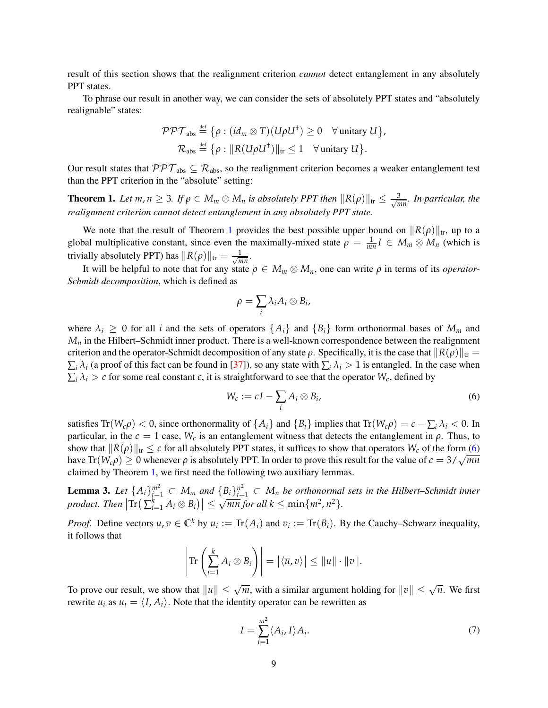result of this section shows that the realignment criterion *cannot* detect entanglement in any absolutely PPT states.

To phrase our result in another way, we can consider the sets of absolutely PPT states and "absolutely realignable" states:

$$
\mathcal{PPT}_{\text{abs}} \stackrel{\text{def}}{=} \{ \rho : (id_m \otimes T)(U\rho U^{\dagger}) \ge 0 \quad \forall \text{ unitary } U \},
$$
  

$$
\mathcal{R}_{\text{abs}} \stackrel{\text{def}}{=} \{ \rho : ||R(U\rho U^{\dagger})||_{\text{tr}} \le 1 \quad \forall \text{ unitary } U \}.
$$

Our result states that  $PPT_{abs} \subseteq \mathcal{R}_{abs}$ , so the realignment criterion becomes a weaker entanglement test than the PPT criterion in the "absolute" setting:

<span id="page-8-0"></span>**Theorem 1.** Let  $m, n \geq 3$ . If  $\rho \in M_m \otimes M_n$  is absolutely PPT then  $\|R(\rho)\|_{tr} \leq \frac{3}{\sqrt{n}}$ *mn . In particular, the realignment criterion cannot detect entanglement in any absolutely PPT state.*

We note that the result of Theorem [1](#page-8-0) provides the best possible upper bound on  $||R(\rho)||_{tr}$ , up to a global multiplicative constant, since even the maximally-mixed state  $\rho = \frac{1}{mn}I \in M_m \otimes M_n$  (which is trivially absolutely PPT) has  $||R(\rho)||_{tr} = \frac{1}{\sqrt{n}}$  $\frac{1}{mn}$ .

It will be helpful to note that for any state *ρ* ∈ *M<sup>m</sup>* ⊗ *Mn*, one can write *ρ* in terms of its *operator-Schmidt decomposition*, which is defined as

$$
\rho=\sum_i \lambda_i A_i\otimes B_i,
$$

where  $\lambda_i \geq 0$  for all *i* and the sets of operators  $\{A_i\}$  and  $\{B_i\}$  form orthonormal bases of  $M_m$  and  $M<sub>n</sub>$  in the Hilbert–Schmidt inner product. There is a well-known correspondence between the realignment criterion and the operator-Schmidt decomposition of any state  $\rho$ . Specifically, it is the case that  $\frac{R(\rho)}{k}$  $\sum_i \lambda_i$  (a proof of this fact can be found in [\[37\]](#page-21-14)), so any state with  $\sum_i \lambda_i > 1$  is entangled. In the case when  $\sum_i \lambda_i > c$  for some real constant *c*, it is straightforward to see that the operator  $W_c$ , defined by

<span id="page-8-1"></span>
$$
W_c := cI - \sum_i A_i \otimes B_i,\tag{6}
$$

satisfies  $Tr(W_c \rho) < 0$ , since orthonormality of  $\{A_i\}$  and  $\{B_i\}$  implies that  $Tr(W_c \rho) = c - \sum_i \lambda_i < 0$ . In particular, in the  $c = 1$  case,  $W_c$  is an entanglement witness that detects the entanglement in  $\rho$ . Thus, to show that  $\|R(\rho)\|_{tr} \leq c$  for all absolutely PPT states, it suffices to show that operators  $W_c$  of the form [\(6\)](#page-8-1) show that  $\|\mathcal{K}(\rho)\|_{tr} \leq c$  for an absolutely PPT. In states, it suffices to show that operators  $W_c$  of the form (0) have  $\text{Tr}(W_c \rho) \geq 0$  whenever  $\rho$  is absolutely PPT. In order to prove this result for the value claimed by Theorem [1,](#page-8-0) we first need the following two auxiliary lemmas.

<span id="page-8-3"></span>**Lemma 3.** Let  $\{A_i\}_{i=1}^{m^2} \subset M_m$  and  $\{B_i\}_{i=1}^{n^2} \subset M_n$  be orthonormal sets in the Hilbert–Schmidt inner  $p$ *roduct. Then*  $\left| \text{Tr} \left( \sum_{i=1}^{k} A_i \otimes B_i \right) \right| \leq$  $\sqrt{mn}$  *for all*  $k \leq \min\{m^2, n^2\}$ .

*Proof.* Define vectors  $u, v \in \mathbb{C}^k$  by  $u_i := \text{Tr}(A_i)$  and  $v_i := \text{Tr}(B_i)$ . By the Cauchy–Schwarz inequality, it follows that

$$
\left|\text{Tr}\left(\sum_{i=1}^k A_i\otimes B_i\right)\right|=\left|\langle \overline{u},v\rangle\right|\leq \|u\|\cdot\|v\|.
$$

To prove our result, we show that  $||u|| \leq \sqrt{m}$ , with a similar argument holding for  $||v|| \leq \sqrt{n}$ . We first rewrite  $u_i$  as  $u_i = \langle I, A_i \rangle$ . Note that the identity operator can be rewritten as

<span id="page-8-2"></span>
$$
I = \sum_{i=1}^{m^2} \langle A_i, I \rangle A_i.
$$
 (7)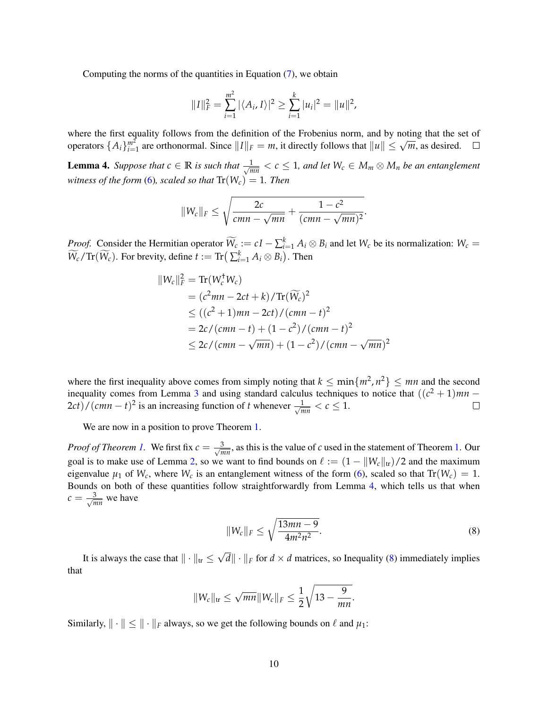Computing the norms of the quantities in Equation [\(7\)](#page-8-2), we obtain

$$
||I||_F^2 = \sum_{i=1}^{m^2} |\langle A_i, I \rangle|^2 \ge \sum_{i=1}^k |u_i|^2 = ||u||^2,
$$

where the first equality follows from the definition of the Frobenius norm, and by noting that the set of where the first equality follows from the definition of the Frobenius florm, and by houng that the s<br>operators  $\{A_i\}_{i=1}^{m^2}$  are orthonormal. Since  $||I||_F = m$ , it directly follows that  $||u|| \le \sqrt{m}$ , as desired.

<span id="page-9-0"></span>**Lemma 4.** Suppose that  $c \in \mathbb{R}$  is such that  $\frac{1}{\sqrt{n}}$  $\frac{1}{mn}$   $<$   $c$   $\leq$  1, and let  $W_c$   $\in$   $M_m$   $\otimes$   $M_n$  be an entanglement *witness of the form* [\(6\)](#page-8-1)*, scaled so that*  $Tr(W_c) = 1$ *. Then* 

$$
||W_c||_F \leq \sqrt{\frac{2c}{cmn-\sqrt{mn}} + \frac{1-c^2}{(cmn-\sqrt{mn})^2}}.
$$

*Proof.* Consider the Hermitian operator  $\widetilde{W_c} := cI - \sum_{i=1}^k A_i \otimes B_i$  and let  $W_c$  be its normalization:  $W_c = \widetilde{W_c} = \widetilde{W_c}$  $\widetilde{W}_c$ /Tr( $\widetilde{W}_c$ ). For brevity, define  $t := \text{Tr}(\sum_{i=1}^k A_i \otimes B_i)$ . Then

$$
||W_c||_F^2 = \text{Tr}(W_c^{\dagger} W_c)
$$
  
=  $(c^2 mn - 2ct + k) / \text{Tr}(\widetilde{W}_c)^2$   
 $\le ((c^2 + 1)mn - 2ct) / (cmn - t)^2$   
=  $2c / (cmn - t) + (1 - c^2) / (cmn - t)^2$   
 $\le 2c / (cmn - \sqrt{mn}) + (1 - c^2) / (cmn - \sqrt{mn})^2$ 

where the first inequality above comes from simply noting that  $k \leq \min\{m^2, n^2\} \leq mn$  and the second inequality comes from Lemma [3](#page-8-3) and using standard calculus techniques to notice that  $((c^2 + 1)mn (2ct)/(cmn - t)^2$  is an increasing function of *t* whenever  $\frac{1}{\sqrt{n}}$  $\frac{1}{mn} < c \leq 1.$  $\Box$ 

We are now in a position to prove Theorem [1.](#page-8-0)

*Proof of Theorem [1.](#page-8-0)* We first fix  $c = \frac{3}{\sqrt{n}}$  $\frac{3}{mn}$ , as this is the value of *c* used in the statement of Theorem [1.](#page-8-0) Our goal is to make use of Lemma [2,](#page-5-1) so we want to find bounds on  $\ell := (1 - ||W_c||_{tr})/2$  and the maximum eigenvalue  $\mu_1$  of  $W_c$ , where  $W_c$  is an entanglement witness of the form [\(6\)](#page-8-1), scaled so that  $Tr(W_c) = 1$ . Bounds on both of these quantities follow straightforwardly from Lemma [4,](#page-9-0) which tells us that when  $c = \frac{3}{\sqrt{n}}$  $\frac{3}{mn}$  we have

<span id="page-9-1"></span>
$$
||W_c||_F \le \sqrt{\frac{13mn - 9}{4m^2n^2}}.
$$
\n(8)

It is always the case that  $\|\cdot\|_{tr} \leq$ √  $\|d\| \cdot \|_F$  for  $d \times d$  matrices, so Inequality [\(8\)](#page-9-1) immediately implies that

$$
||W_c||_{\text{tr}} \leq \sqrt{mn}||W_c||_F \leq \frac{1}{2}\sqrt{13 - \frac{9}{mn}}.
$$

Similarly,  $\|\cdot\| \leq \|\cdot\|_F$  always, so we get the following bounds on  $\ell$  and  $\mu_1$ :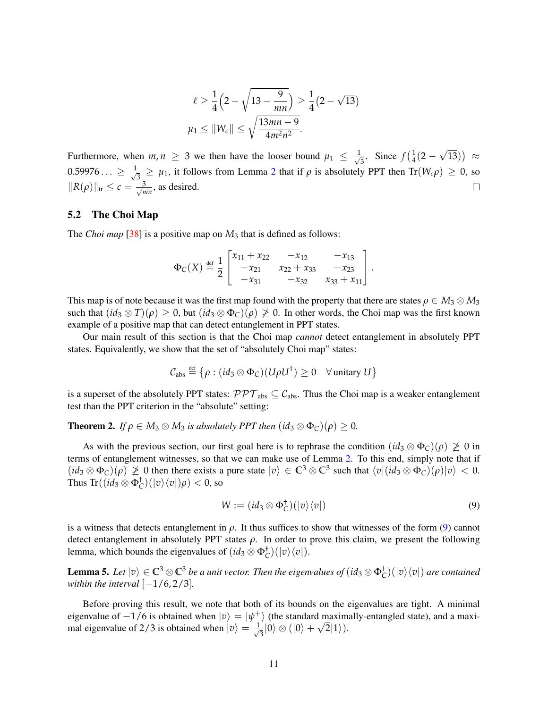$$
\ell \ge \frac{1}{4} \left( 2 - \sqrt{13 - \frac{9}{mn}} \right) \ge \frac{1}{4} (2 - \sqrt{13})
$$
  

$$
\mu_1 \le ||W_c|| \le \sqrt{\frac{13mn - 9}{4m^2n^2}}.
$$

√ Furthermore, when  $m, n \geq 3$  we then have the looser bound  $\mu_1 \leq \frac{1}{\sqrt{3}}$  $\frac{1}{3}$ . Since  $f(\frac{1}{4})$  $rac{1}{4}(2 \overline{13})$   $\approx$  $0.59976... \geq \frac{1}{\sqrt{2}}$  $\frac{1}{3} \geq \mu_1$ , it follows from Lemma [2](#page-5-1) that if  $\rho$  is absolutely PPT then Tr( $W_c \rho$ )  $\geq 0$ , so  $\|R(\rho)\|_{\text{tr}} \leq c = \frac{3}{\sqrt{n}}$  $\Box$  $\frac{3}{mn}$ , as desired.

#### 5.2 The Choi Map

The *Choi map* [\[38\]](#page-21-15) is a positive map on *M*<sup>3</sup> that is defined as follows:

$$
\Phi_C(X) \stackrel{\text{def}}{=} \frac{1}{2} \begin{bmatrix} x_{11} + x_{22} & -x_{12} & -x_{13} \\ -x_{21} & x_{22} + x_{33} & -x_{23} \\ -x_{31} & -x_{32} & x_{33} + x_{11} \end{bmatrix}.
$$

This map is of note because it was the first map found with the property that there are states  $\rho \in M_3 \otimes M_3$ such that  $(id_3 \otimes T)(\rho) \geq 0$ , but  $(id_3 \otimes \Phi_C)(\rho) \geq 0$ . In other words, the Choi map was the first known example of a positive map that can detect entanglement in PPT states.

Our main result of this section is that the Choi map *cannot* detect entanglement in absolutely PPT states. Equivalently, we show that the set of "absolutely Choi map" states:

$$
\mathcal{C}_{\text{abs}} \stackrel{\text{def}}{=} \left\{ \rho : (id_3 \otimes \Phi_C)(U \rho U^{\dagger}) \geq 0 \quad \forall \text{ unitary } U \right\}
$$

is a superset of the absolutely PPT states:  $\mathcal{PPT}_{\text{abs}} \subseteq \mathcal{C}_{\text{abs}}$ . Thus the Choi map is a weaker entanglement test than the PPT criterion in the "absolute" setting:

<span id="page-10-1"></span>**Theorem 2.** *If*  $\rho \in M_3 \otimes M_3$  *is absolutely PPT then*  $(id_3 \otimes \Phi_C)(\rho) \geq 0$ *.* 

As with the previous section, our first goal here is to rephrase the condition  $(id_3 \otimes \Phi_C)(\rho) \not\geq 0$  in terms of entanglement witnesses, so that we can make use of Lemma [2.](#page-5-1) To this end, simply note that if  $(id_3 \otimes \Phi_C)(\rho) \not\geq 0$  then there exists a pure state  $|v\rangle \in \mathbb{C}^3 \otimes \mathbb{C}^3$  such that  $\langle v | (id_3 \otimes \Phi_C)(\rho) |v\rangle < 0$ . Thus  $\text{Tr}((id_3 \otimes \Phi_C^{\dagger})(|v\rangle\langle v|)\rho) < 0$ , so

<span id="page-10-0"></span>
$$
W := (id_3 \otimes \Phi_C^{\dagger})(|v\rangle\langle v|)
$$
\n(9)

is a witness that detects entanglement in *ρ*. It thus suffices to show that witnesses of the form [\(9\)](#page-10-0) cannot detect entanglement in absolutely PPT states  $\rho$ . In order to prove this claim, we present the following lemma, which bounds the eigenvalues of  $(id_3 \otimes \Phi_C^{\dagger})(|v\rangle\langle v|)$ .

<span id="page-10-2"></span>**Lemma 5.** Let  $|v\rangle \in \mathbb{C}^3 \otimes \mathbb{C}^3$  be a unit vector. Then the eigenvalues of  $(id_3 \otimes \Phi_C^+)(|v\rangle\langle v|)$  are contained *within the interval*  $[-1/6, 2/3]$ *.* 

Before proving this result, we note that both of its bounds on the eigenvalues are tight. A minimal eigenvalue of  $-1/6$  is obtained when  $|v\rangle = |\psi^+\rangle$  (the standard maximally-entangled state), and a maximal eigenvalue of 2/3 is obtained when  $|v\rangle = \frac{1}{\sqrt{2}}$  $_{\overline{3}}|0\rangle \otimes (|0\rangle + \sqrt{2}|1\rangle).$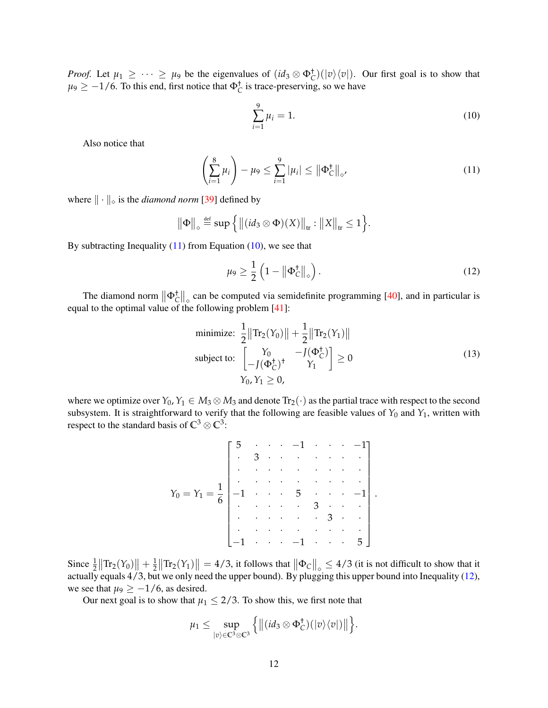*Proof.* Let  $\mu_1 \geq \cdots \geq \mu_9$  be the eigenvalues of  $(id_3 \otimes \Phi_C^{\dagger})(|v\rangle\langle v|)$ . Our first goal is to show that  $\mu$ <sup>9</sup>  $\geq$  -1/6. To this end, first notice that  $\Phi_C^{\dagger}$  is trace-preserving, so we have

<span id="page-11-1"></span><span id="page-11-0"></span>
$$
\sum_{i=1}^{9} \mu_i = 1.
$$
 (10)

Also notice that

$$
\left(\sum_{i=1}^{8} \mu_i\right) - \mu_9 \le \sum_{i=1}^{9} |\mu_i| \le ||\Phi_C^+||_{\diamond'} \tag{11}
$$

where  $\|\cdot\|_{\diamond}$  is the *diamond norm* [\[39\]](#page-21-16) defined by

$$
\|\Phi\|_{\diamond} \stackrel{\text{def}}{=} \sup \Big\{ \big\| (id_3 \otimes \Phi)(X) \big\|_{tr} : \|X\|_{tr} \leq 1 \Big\}.
$$

By subtracting Inequality  $(11)$  from Equation  $(10)$ , we see that

<span id="page-11-3"></span><span id="page-11-2"></span>
$$
\mu_9 \ge \frac{1}{2} \left( 1 - \left\| \Phi_C^+ \right\|_{\diamond} \right). \tag{12}
$$

The diamond norm  $\|\Phi_{\mathcal{C}}^{\dagger}\|_{\diamond}$  can be computed via semidefinite programming [\[40\]](#page-21-17), and in particular is equal to the optimal value of the following problem [\[41\]](#page-22-0):

minimize: 
$$
\frac{1}{2} ||\text{Tr}_{2}(Y_{0})|| + \frac{1}{2} ||\text{Tr}_{2}(Y_{1})||
$$
  
subject to: 
$$
\begin{bmatrix} Y_{0} & -J(\Phi_{C}^{+}) \\ -J(\Phi_{C}^{+})^{+} & Y_{1} \end{bmatrix} \ge 0
$$
 (13)  

$$
Y_{0}, Y_{1} \ge 0,
$$

where we optimize over  $Y_0, Y_1 \in M_3 \otimes M_3$  and denote  $Tr_2(\cdot)$  as the partial trace with respect to the second subsystem. It is straightforward to verify that the following are feasible values of  $Y_0$  and  $Y_1$ , written with respect to the standard basis of  $\mathbb{C}^3 \otimes \mathbb{C}^3$ :

$$
Y_0 = Y_1 = \frac{1}{6} \begin{bmatrix} 5 & \cdots & -1 & \cdots & -1 \\ \vdots & 3 & \cdots & \cdots & \vdots & \vdots \\ \vdots & \ddots & \ddots & \ddots & \ddots & \vdots \\ -1 & \cdots & \cdots & 5 & \cdots & -1 \\ \vdots & \vdots & \ddots & \ddots & \vdots & \vdots \\ -1 & \cdots & -1 & \cdots & 5 \end{bmatrix}.
$$

Since  $\frac{1}{2} \|\text{Tr}_2(Y_0)\| + \frac{1}{2} \|\text{Tr}_2(Y_1)\| = 4/3$ , it follows that  $\|\Phi_C\|_{\infty} \le 4/3$  (it is not difficult to show that it actually equals 4/3, but we only need the upper bound). By plugging this upper bound into Inequality [\(12\)](#page-11-2), we see that  $\mu_9 \ge -1/6$ , as desired.

Our next goal is to show that  $\mu_1 \leq 2/3$ . To show this, we first note that

$$
\mu_1 \leq \sup_{|v\rangle \in \mathbb{C}^3 \otimes \mathbb{C}^3} \Big\{ \big\| (id_3 \otimes \Phi_C^{\dagger})(|v\rangle \langle v|) \big\| \Big\}.
$$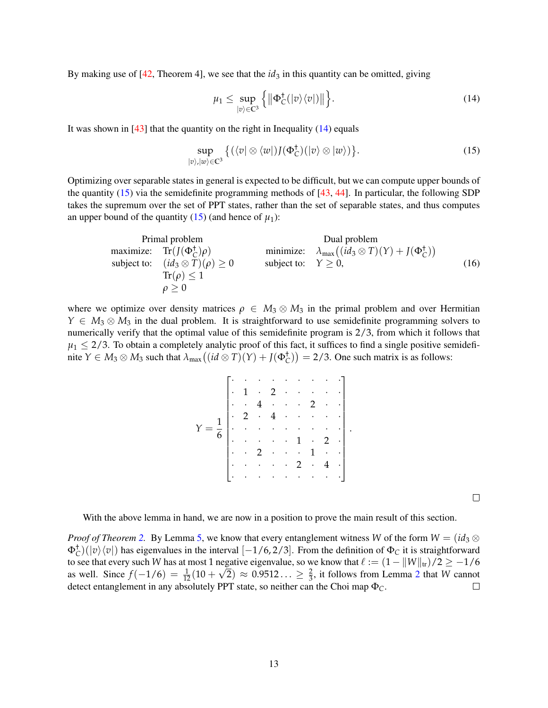By making use of  $[42,$  Theorem 4], we see that the  $id_3$  in this quantity can be omitted, giving

<span id="page-12-1"></span><span id="page-12-0"></span>
$$
\mu_1 \leq \sup_{|v\rangle \in \mathbb{C}^3} \left\{ \left\| \Phi_C^{\dagger}(|v\rangle \langle v|) \right\| \right\}.
$$
 (14)

<span id="page-12-2"></span>.

It was shown in  $[43]$  that the quantity on the right in Inequality  $(14)$  equals

$$
\sup_{|v\rangle,|w\rangle\in\mathbb{C}^3} \left\{ (\langle v|\otimes\langle w|)J(\Phi_C^{\dagger})(|v\rangle\otimes|w\rangle) \right\}.
$$
 (15)

Optimizing over separable states in general is expected to be difficult, but we can compute upper bounds of the quantity  $(15)$  via the semidefinite programming methods of [\[43,](#page-22-2) [44\]](#page-22-3). In particular, the following SDP takes the supremum over the set of PPT states, rather than the set of separable states, and thus computes an upper bound of the quantity  $(15)$  (and hence of  $\mu_1$ ):

| Primal problem                                 | Dual problem                                                                |
|------------------------------------------------|-----------------------------------------------------------------------------|
| maximize: $\text{Tr}(J(\Phi_C^{\dagger})\rho)$ | minimize: $\lambda_{\text{max}}((id_3 \otimes T)(Y) + J(\Phi_C^{\dagger}))$ |
| subject to: $(id_3 \otimes T)(\rho) \ge 0$     | subject to: $Y \ge 0$ ,                                                     |
| $\text{Tr}(\rho) \le 1$                        | $\rho \ge 0$                                                                |

where we optimize over density matrices  $\rho \in M_3 \otimes M_3$  in the primal problem and over Hermitian  $Y \in M_3 \otimes M_3$  in the dual problem. It is straightforward to use semidefinite programming solvers to numerically verify that the optimal value of this semidefinite program is 2/3, from which it follows that  $\mu_1 \leq 2/3$ . To obtain a completely analytic proof of this fact, it suffices to find a single positive semidefinite  $Y \in M_3 \otimes M_3$  such that  $\lambda_{\max}((id \otimes T)(Y) + J(\Phi_C^{\dagger})) = 2/3$ . One such matrix is as follows:

| $\overline{6}$                                                                                                                                                                                                                                                                                                                                                                                                                                                                                                                                                                     |  |  |  |  |  |  |
|------------------------------------------------------------------------------------------------------------------------------------------------------------------------------------------------------------------------------------------------------------------------------------------------------------------------------------------------------------------------------------------------------------------------------------------------------------------------------------------------------------------------------------------------------------------------------------|--|--|--|--|--|--|
|                                                                                                                                                                                                                                                                                                                                                                                                                                                                                                                                                                                    |  |  |  |  |  |  |
|                                                                                                                                                                                                                                                                                                                                                                                                                                                                                                                                                                                    |  |  |  |  |  |  |
|                                                                                                                                                                                                                                                                                                                                                                                                                                                                                                                                                                                    |  |  |  |  |  |  |
|                                                                                                                                                                                                                                                                                                                                                                                                                                                                                                                                                                                    |  |  |  |  |  |  |
|                                                                                                                                                                                                                                                                                                                                                                                                                                                                                                                                                                                    |  |  |  |  |  |  |
| $2 \cdot \cdot \cdot 1 \cdot \cdot$                                                                                                                                                                                                                                                                                                                                                                                                                                                                                                                                                |  |  |  |  |  |  |
| $\begin{bmatrix} \cdot & \cdot & \cdot & 2 & \cdot & 4 & \cdot \\ \cdot & \cdot & \cdot & \cdot & \cdot & \cdot & \cdot \end{bmatrix}$<br>$\left\{\left\{\left(\left(\left(\mathbf{r}_{i},\mathbf{r}_{i},\mathbf{r}_{i},\mathbf{r}_{i},\mathbf{r}_{i},\mathbf{r}_{i},\mathbf{r}_{i},\mathbf{r}_{i},\mathbf{r}_{i},\mathbf{r}_{i},\mathbf{r}_{i},\mathbf{r}_{i},\mathbf{r}_{i},\mathbf{r}_{i},\mathbf{r}_{i},\mathbf{r}_{i},\mathbf{r}_{i},\mathbf{r}_{i},\mathbf{r}_{i},\mathbf{r}_{i},\mathbf{r}_{i},\mathbf{r}_{i},\mathbf{r}_{i},\mathbf{r}_{i},\mathbf{r}_{i},\mathbf{r}_{i},$ |  |  |  |  |  |  |
|                                                                                                                                                                                                                                                                                                                                                                                                                                                                                                                                                                                    |  |  |  |  |  |  |

 $\Box$ 

With the above lemma in hand, we are now in a position to prove the main result of this section.

*Proof of Theorem* [2.](#page-10-1) By Lemma [5,](#page-10-2) we know that every entanglement witness *W* of the form  $W = (id_3 \otimes$  $\Phi_C^{\dagger}$ )( $|v\rangle\langle v|$ ) has eigenvalues in the interval [−1/6,2/3]. From the definition of  $\Phi_C$  it is straightforward to see that every such *W* has at most 1 negative eigenvalue, so we know that  $\ell := (1 - ||W||_{tr})/2 \ge -1/6$ as well. Since  $f(-1/6) = \frac{1}{12}(10 + \sqrt{2}) \approx 0.9512... \ge \frac{2}{3}$  $f(-1/6) = \frac{1}{12}(10 + \sqrt{2}) \approx 0.9512... \ge \frac{2}{3}$  $f(-1/6) = \frac{1}{12}(10 + \sqrt{2}) \approx 0.9512... \ge \frac{2}{3}$ , it follows from Lemma 2 that *W* cannot detect entanglement in any absolutely PPT state, so neither can the Choi map Φ*C*.  $\Box$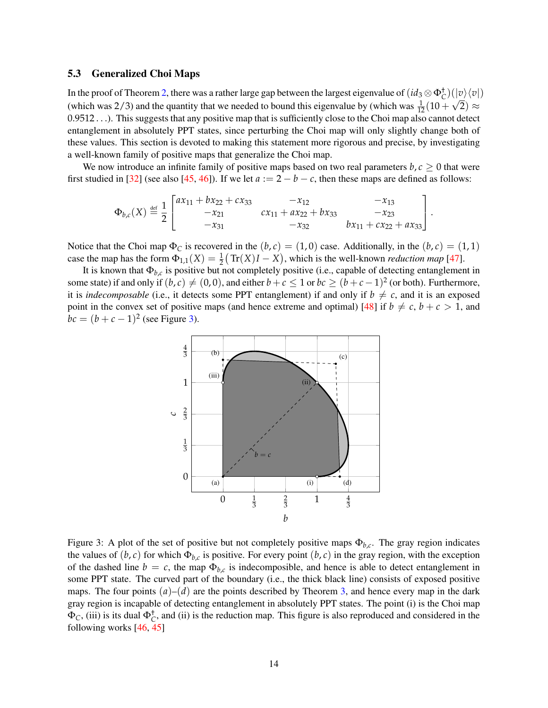### <span id="page-13-1"></span>5.3 Generalized Choi Maps

In the proof of Theorem [2,](#page-10-1) there was a rather large gap between the largest eigenvalue of  $(id_3 \otimes \Phi_C^+)(|v\rangle\langle v|)$ (which was 2/3) and the quantity that we needed to bound this eigenvalue by (which was  $\frac{1}{12}(10+\sqrt{2}) \approx$ 0.9512 . . .). This suggests that any positive map that is sufficiently close to the Choi map also cannot detect entanglement in absolutely PPT states, since perturbing the Choi map will only slightly change both of these values. This section is devoted to making this statement more rigorous and precise, by investigating a well-known family of positive maps that generalize the Choi map.

We now introduce an infinite family of positive maps based on two real parameters  $b, c > 0$  that were first studied in [\[32\]](#page-21-9) (see also [\[45,](#page-22-4) [46\]](#page-22-5)). If we let  $a := 2 - b - c$ , then these maps are defined as follows:

$$
\Phi_{b,c}(X) \stackrel{\text{def}}{=} \frac{1}{2} \begin{bmatrix} ax_{11} + bx_{22} + cx_{33} & -x_{12} & -x_{13} \\ -x_{21} & cx_{11} + ax_{22} + bx_{33} & -x_{23} \\ -x_{31} & -x_{32} & bx_{11} + cx_{22} + ax_{33} \end{bmatrix}.
$$

Notice that the Choi map  $\Phi_C$  is recovered in the  $(b, c) = (1, 0)$  case. Additionally, in the  $(b, c) = (1, 1)$ case the map has the form  $\Phi_{1,1}(X) = \frac{1}{2}(\text{Tr}(X)I - X)$ , which is the well-known *reduction map* [\[47\]](#page-22-6).

It is known that  $\Phi_{b,c}$  is positive but not completely positive (i.e., capable of detecting entanglement in some state) if and only if  $(b, c) \neq (0, 0)$ , and either  $b + c \leq 1$  or  $bc \geq (b + c - 1)^2$  (or both). Furthermore, it is *indecomposable* (i.e., it detects some PPT entanglement) if and only if  $b \neq c$ , and it is an exposed point in the convex set of positive maps (and hence extreme and optimal) [\[48\]](#page-22-7) if  $b \neq c$ ,  $b + c > 1$ , and  $bc = (b + c - 1)^2$  (see Figure [3\)](#page-13-0).



<span id="page-13-0"></span>Figure 3: A plot of the set of positive but not completely positive maps Φ*b*,*<sup>c</sup>* . The gray region indicates the values of  $(b, c)$  for which  $\Phi_{b,c}$  is positive. For every point  $(b, c)$  in the gray region, with the exception of the dashed line  $b = c$ , the map  $\Phi_{b,c}$  is indecomposible, and hence is able to detect entanglement in some PPT state. The curved part of the boundary (i.e., the thick black line) consists of exposed positive maps. The four points  $(a)$ – $(d)$  are the points described by Theorem [3,](#page-14-0) and hence every map in the dark gray region is incapable of detecting entanglement in absolutely PPT states. The point (i) is the Choi map  $\Phi_C$ , (iii) is its dual  $\Phi_C^+$ , and (ii) is the reduction map. This figure is also reproduced and considered in the following works [\[46,](#page-22-5) [45\]](#page-22-4)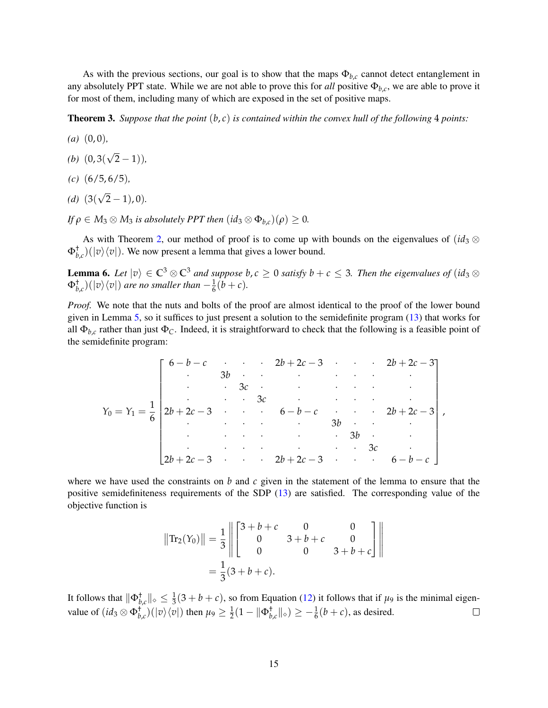As with the previous sections, our goal is to show that the maps  $\Phi_{b,c}$  cannot detect entanglement in any absolutely PPT state. While we are not able to prove this for *all* positive  $\Phi_{b,c}$ , we are able to prove it for most of them, including many of which are exposed in the set of positive maps.

<span id="page-14-0"></span>**Theorem 3.** Suppose that the point  $(b, c)$  is contained within the convex hull of the following 4 points:

- *(a)* (0, 0)*,*
- *(b)* (0, 3( √ 2 − 1))*,*
- *(c)* (6/5, 6/5)*,*
- *(d)* (3( √ 2 − 1), 0)*.*
- *If*  $\rho \in M_3 \otimes M_3$  *is absolutely PPT then*  $(id_3 \otimes \Phi_{h,c})(\rho) \geq 0$ *.*

As with Theorem [2,](#page-10-1) our method of proof is to come up with bounds on the eigenvalues of  $(id_3 \otimes$  $\Phi_{b,c}^{\dagger}$ )( $|v\rangle\langle v|$ ). We now present a lemma that gives a lower bound.

<span id="page-14-1"></span>**Lemma 6.** Let  $|v\rangle \in \mathbb{C}^3 \otimes \mathbb{C}^3$  *and suppose b*, *c* ≥ 0 *satisfy b* + *c* ≤ 3*. Then the eigenvalues of* (*id*<sub>3</sub> ⊗  $\Phi_{b,c}^{+}$  $\rangle$  $(|v\rangle \langle v|)$  are no smaller than  $-\frac{1}{6}(b+c)$ .

*Proof.* We note that the nuts and bolts of the proof are almost identical to the proof of the lower bound given in Lemma [5,](#page-10-2) so it suffices to just present a solution to the semidefinite program [\(13\)](#page-11-3) that works for all  $\Phi_{b,c}$  rather than just  $\Phi_c$ . Indeed, it is straightforward to check that the following is a feasible point of the semidefinite program:

*Y*<sup>0</sup> = *Y*<sup>1</sup> = 1 6 6 − *b* − *c* · · · 2*b* + 2*c* − 3 · · · 2*b* + 2*c* − 3 · 3*b* · · · · · · · · · 3*c* · · · · · · · · · 3*c* · · · · · 2*b* + 2*c* − 3 · · · 6 − *b* − *c* · · · 2*b* + 2*c* − 3 · · · · · 3*b* · · · · · · · · · 3*b* · · · · · · · · · 3*c* · 2*b* + 2*c* − 3 · · · 2*b* + 2*c* − 3 · · · 6 − *b* − *c* ,

where we have used the constraints on *b* and *c* given in the statement of the lemma to ensure that the positive semidefiniteness requirements of the SDP [\(13\)](#page-11-3) are satisfied. The corresponding value of the objective function is

$$
\begin{aligned} \left\| \text{Tr}_2(Y_0) \right\| &= \frac{1}{3} \left\| \begin{bmatrix} 3+b+c & 0 & 0 \\ 0 & 3+b+c & 0 \\ 0 & 0 & 3+b+c \end{bmatrix} \right\| \\ &= \frac{1}{3} (3+b+c). \end{aligned}
$$

It follows that  $\|\Phi_{b,c}^{\dagger}\|_{\diamond}\leq \frac{1}{3}(3+b+c)$ , so from Equation [\(12\)](#page-11-2) it follows that if  $\mu_9$  is the minimal eigenvalue of  $(id_3 \otimes \Phi_{b,c}^{\dagger})(|\nu\rangle\langle\nu|)$  then  $\mu_9 \geq \frac{1}{2}(1 - ||\Phi_{b,c}^{\dagger}||_{\diamond}) \geq -\frac{1}{6}(b+c)$ , as desired.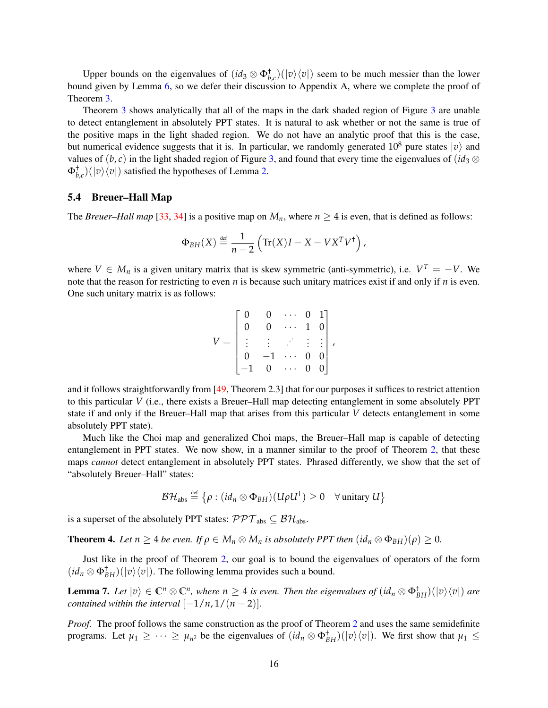Upper bounds on the eigenvalues of  $(id_3 \otimes \Phi_{b,c}^{\dagger})(|v\rangle\langle v|)$  seem to be much messier than the lower bound given by Lemma [6,](#page-14-1) so we defer their discussion to Appendix A, where we complete the proof of Theorem [3.](#page-14-0)

Theorem [3](#page-14-0) shows analytically that all of the maps in the dark shaded region of Figure [3](#page-13-0) are unable to detect entanglement in absolutely PPT states. It is natural to ask whether or not the same is true of the positive maps in the light shaded region. We do not have an analytic proof that this is the case, but numerical evidence suggests that it is. In particular, we randomly generated  $10^8$  pure states  $|v\rangle$  and values of  $(b, c)$  in the light shaded region of Figure [3,](#page-13-0) and found that every time the eigenvalues of  $(id_3 \otimes$  $\Phi_{b,c}^{\dagger}$ )( $|v\rangle\langle v|$ ) satisfied the hypotheses of Lemma [2.](#page-5-1)

#### 5.4 Breuer–Hall Map

The *Breuer–Hall map* [\[33,](#page-21-10) [34\]](#page-21-11) is a positive map on  $M_n$ , where  $n \geq 4$  is even, that is defined as follows:

$$
\Phi_{BH}(X) \stackrel{\text{def}}{=} \frac{1}{n-2} \left( \text{Tr}(X)I - X - VX^T V^{\dagger} \right),
$$

where  $V \in M_n$  is a given unitary matrix that is skew symmetric (anti-symmetric), i.e.  $V^T = -V$ . We note that the reason for restricting to even *n* is because such unitary matrices exist if and only if *n* is even. One such unitary matrix is as follows:

$$
V = \begin{bmatrix} 0 & 0 & \cdots & 0 & 1 \\ 0 & 0 & \cdots & 1 & 0 \\ \vdots & \vdots & \ddots & \vdots & \vdots \\ 0 & -1 & \cdots & 0 & 0 \\ -1 & 0 & \cdots & 0 & 0 \end{bmatrix},
$$

and it follows straightforwardly from [\[49,](#page-22-8) Theorem 2.3] that for our purposes it suffices to restrict attention to this particular *V* (i.e., there exists a Breuer–Hall map detecting entanglement in some absolutely PPT state if and only if the Breuer–Hall map that arises from this particular *V* detects entanglement in some absolutely PPT state).

Much like the Choi map and generalized Choi maps, the Breuer–Hall map is capable of detecting entanglement in PPT states. We now show, in a manner similar to the proof of Theorem [2,](#page-10-1) that these maps *cannot* detect entanglement in absolutely PPT states. Phrased differently, we show that the set of "absolutely Breuer–Hall" states:

$$
\mathcal{BH}_{\text{abs}} \stackrel{\text{def}}{=} \left\{ \rho : (id_n \otimes \Phi_{BH})(U \rho U^{\dagger}) \geq 0 \quad \forall \text{ unitary } U \right\}
$$

is a superset of the absolutely PPT states:  $\mathcal{PPT}_{\text{abs}} \subseteq \mathcal{BH}_{\text{abs}}$ .

<span id="page-15-0"></span>**Theorem 4.** Let  $n \geq 4$  be even. If  $\rho \in M_n \otimes M_n$  is absolutely PPT then  $(id_n \otimes \Phi_{BH})(\rho) \geq 0$ .

Just like in the proof of Theorem [2,](#page-10-1) our goal is to bound the eigenvalues of operators of the form  $(id_n \otimes \Phi_{BH}^{\dagger})(|v\rangle\langle v|)$ . The following lemma provides such a bound.

<span id="page-15-1"></span>**Lemma 7.** Let  $|v\rangle \in \mathbb{C}^n \otimes \mathbb{C}^n$ , where  $n \geq 4$  is even. Then the eigenvalues of  $(id_n \otimes \Phi_{BH}^+)(|v\rangle\langle v|)$  are *contained within the interval*  $[-1/n, 1/(n-2)]$ *.* 

*Proof.* The proof follows the same construction as the proof of Theorem [2](#page-10-1) and uses the same semidefinite programs. Let  $\mu_1 \geq \cdots \geq \mu_{n^2}$  be the eigenvalues of  $(id_n \otimes \Phi_{BH}^{\dagger})(|v\rangle\langle v|)$ . We first show that  $\mu_1 \leq$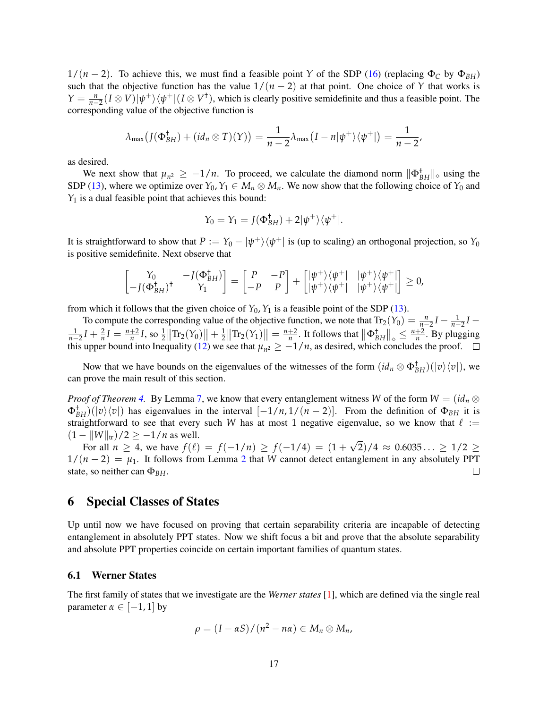$1/(n-2)$ . To achieve this, we must find a feasible point *Y* of the SDP [\(16\)](#page-12-2) (replacing  $\Phi_C$  by  $\Phi_{BH}$ ) such that the objective function has the value  $1/(n-2)$  at that point. One choice of *Y* that works is  $Y = \frac{n}{n-2}(I \otimes V)|\psi^{+}\rangle\langle\psi^{+}|(I \otimes V^{\dagger})$ , which is clearly positive semidefinite and thus a feasible point. The corresponding value of the objective function is

$$
\lambda_{\max}\big(J(\Phi_{BH}^{\dagger}) + (id_n \otimes T)(Y)\big) = \frac{1}{n-2}\lambda_{\max}\big(I - n|\psi^{+}\rangle\langle\psi^{+}|\big) = \frac{1}{n-2},
$$

as desired.

We next show that  $\mu_{n^2} \geq -1/n$ . To proceed, we calculate the diamond norm  $\|\Phi_{BH}^{\dagger}\|_{\diamond}$  using the SDP [\(13\)](#page-11-3), where we optimize over  $Y_0, Y_1 \in M_n \otimes M_n$ . We now show that the following choice of  $Y_0$  and *Y*<sub>1</sub> is a dual feasible point that achieves this bound:

$$
Y_0 = Y_1 = J(\Phi_{BH}^{\dagger}) + 2|\psi^+\rangle\langle\psi^+|.
$$

It is straightforward to show that  $P := Y_0 - |\psi^+\rangle\langle\psi^+|$  is (up to scaling) an orthogonal projection, so  $Y_0$ is positive semidefinite. Next observe that

$$
\begin{bmatrix} Y_0 & -J(\Phi_{BH}^{\dagger}) \\ -J(\Phi_{BH}^{\dagger})^{\dagger} & Y_1 \end{bmatrix} = \begin{bmatrix} P & -P \\ -P & P \end{bmatrix} + \begin{bmatrix} |\psi^+\rangle\langle\psi^+| & |\psi^+\rangle\langle\psi^+| \\ |\psi^+\rangle\langle\psi^+| & |\psi^+\rangle\langle\psi^+| \end{bmatrix} \geq 0,
$$

from which it follows that the given choice of  $Y_0$ ,  $Y_1$  is a feasible point of the SDP [\(13\)](#page-11-3).

To compute the corresponding value of the objective function, we note that  $Tr_2(Y_0) = \frac{n}{n-2}I - \frac{1}{n-2}I$  $\frac{1}{n-2}I + \frac{2}{n}I = \frac{n+2}{n}I$ , so  $\frac{1}{2}||\text{Tr}_2(Y_0)|| + \frac{1}{2}||\text{Tr}_2(Y_1)|| = \frac{n+2}{n}$ . It follows that  $||\Phi_{BH}^{\dagger}||_{\diamond} \leq \frac{n+2}{n}$ . By plugging this upper bound into Inequality [\(12\)](#page-11-2) we see that  $\mu_{n^2} \geq -1/n$ , as desired, which concludes the proof.

Now that we have bounds on the eigenvalues of the witnesses of the form  $(id_n \otimes \Phi_{BH}^+)(|v\rangle\langle v|)$ , we can prove the main result of this section.

*Proof of Theorem [4.](#page-15-0)* By Lemma [7,](#page-15-1) we know that every entanglement witness *W* of the form  $W = (id_n \otimes$  $\Phi_{BH}^{\dagger}$ )( $|v\rangle\langle v|$ ) has eigenvalues in the interval  $[-1/n, 1/(n-2)]$ . From the definition of  $\Phi_{BH}$  it is straightforward to see that every such *W* has at most 1 negative eigenvalue, so we know that  $\ell :=$  $(1 - ||W||_{tr})/2 \ge -1/n$  as well. √

For all  $n \geq 4$ , we have  $f(\ell) = f(-1/n) \geq f(-1/4) = (1 + \ell)$ 2)/4  $\approx 0.6035... \geq 1/2 \geq$  $1/(n-2) = \mu_1$  $1/(n-2) = \mu_1$  $1/(n-2) = \mu_1$ . It follows from Lemma 2 that *W* cannot detect entanglement in any absolutely PPT state, so neither can Φ*BH*.  $\Box$ 

## <span id="page-16-0"></span>6 Special Classes of States

Up until now we have focused on proving that certain separability criteria are incapable of detecting entanglement in absolutely PPT states. Now we shift focus a bit and prove that the absolute separability and absolute PPT properties coincide on certain important families of quantum states.

#### 6.1 Werner States

The first family of states that we investigate are the *Werner states* [\[1\]](#page-19-0), which are defined via the single real parameter  $\alpha \in [-1, 1]$  by

$$
\rho = (I - \alpha S)/(n^2 - n\alpha) \in M_n \otimes M_n,
$$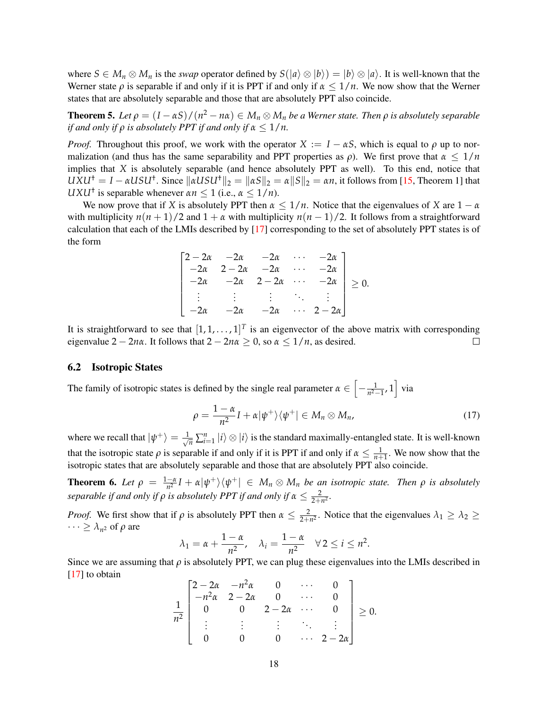where  $S \in M_n \otimes M_n$  is the *swap* operator defined by  $S(|a\rangle \otimes |b\rangle) = |b\rangle \otimes |a\rangle$ . It is well-known that the Werner state  $\rho$  is separable if and only if it is PPT if and only if  $\alpha \leq 1/n$ . We now show that the Werner states that are absolutely separable and those that are absolutely PPT also coincide.

**Theorem 5.** Let  $\rho = (I - \alpha S)/(n^2 - n\alpha) \in M_n \otimes M_n$  be a Werner state. Then  $\rho$  is absolutely separable *if and only if*  $\rho$  *is absolutely PPT if and only if*  $\alpha \leq 1/n$ *.* 

*Proof.* Throughout this proof, we work with the operator  $X := I - \alpha S$ , which is equal to  $\rho$  up to normalization (and thus has the same separability and PPT properties as  $\rho$ ). We first prove that  $\alpha \leq 1/n$ implies that *X* is absolutely separable (and hence absolutely PPT as well). To this end, notice that  $UXU^{\dagger} = I - \alpha USU^{\dagger}$ . Since  $\|\alpha USU^{\dagger}\|_2 = \|\alpha S\|_2 = \alpha \|S\|_2 = \alpha n$ , it follows from [\[15,](#page-20-11) Theorem 1] that *UXU*<sup>†</sup> is separable whenever  $\alpha n \leq 1$  (i.e.,  $\alpha \leq 1/n$ ).

We now prove that if *X* is absolutely PPT then  $\alpha \leq 1/n$ . Notice that the eigenvalues of *X* are  $1 - \alpha$ with multiplicity  $n(n + 1)/2$  and  $1 + \alpha$  with multiplicity  $n(n - 1)/2$ . It follows from a straightforward calculation that each of the LMIs described by [\[17\]](#page-20-13) corresponding to the set of absolutely PPT states is of the form

$$
\begin{bmatrix}\n2-2\alpha & -2\alpha & -2\alpha & \cdots & -2\alpha \\
-2\alpha & 2-2\alpha & -2\alpha & \cdots & -2\alpha \\
-2\alpha & -2\alpha & 2-2\alpha & \cdots & -2\alpha \\
\vdots & \vdots & \vdots & \ddots & \vdots \\
-2\alpha & -2\alpha & -2\alpha & \cdots & 2-2\alpha\n\end{bmatrix} \geq 0.
$$

It is straightforward to see that  $[1, 1, \ldots, 1]^T$  is an eigenvector of the above matrix with corresponding eigenvalue  $2 - 2n\alpha$ . It follows that  $2 - 2n\alpha \ge 0$ , so  $\alpha \le 1/n$ , as desired.  $\Box$ 

#### 6.2 Isotropic States

The family of isotropic states is defined by the single real parameter  $\alpha \in \left[-\frac{1}{n^2-1}, 1\right]$  via

$$
\rho = \frac{1-\alpha}{n^2}I + \alpha |\psi^+\rangle\langle\psi^+| \in M_n \otimes M_n,\tag{17}
$$

where we recall that  $|\psi^+\rangle = \frac{1}{\sqrt{n}}\sum_{i=1}^n|i\rangle\otimes|i\rangle$  is the standard maximally-entangled state. It is well-known that the isotropic state  $\rho$  is separable if and only if it is PPT if and only if  $\alpha \le \frac{1}{n+1}$ . We now show that the isotropic states that are absolutely separable and those that are absolutely PPT also coincide.

**Theorem 6.** Let  $\rho = \frac{1-\alpha}{n^2}I + \alpha|\psi^+\rangle\langle\psi^+| \in M_n \otimes M_n$  be an isotropic state. Then  $\rho$  is absolutely *separable if and only if*  $\rho$  *is absolutely PPT if and only if*  $\alpha \leq \frac{2}{2+n^2}$ .

*Proof.* We first show that if  $\rho$  is absolutely PPT then  $\alpha \leq \frac{2}{2+n^2}$ . Notice that the eigenvalues  $\lambda_1 \geq \lambda_2 \geq$  $\cdots \geq \lambda_{n^2}$  of  $\rho$  are

$$
\lambda_1 = \alpha + \frac{1 - \alpha}{n^2}, \quad \lambda_i = \frac{1 - \alpha}{n^2} \quad \forall \, 2 \leq i \leq n^2.
$$

Since we are assuming that  $\rho$  is absolutely PPT, we can plug these eigenvalues into the LMIs described in [\[17\]](#page-20-13) to obtain

$$
\frac{1}{n^2} \begin{bmatrix} 2-2\alpha & -n^2\alpha & 0 & \cdots & 0 \\ -n^2\alpha & 2-2\alpha & 0 & \cdots & 0 \\ 0 & 0 & 2-2\alpha & \cdots & 0 \\ \vdots & \vdots & \vdots & \ddots & \vdots \\ 0 & 0 & 0 & \cdots & 2-2\alpha \end{bmatrix} \geq 0.
$$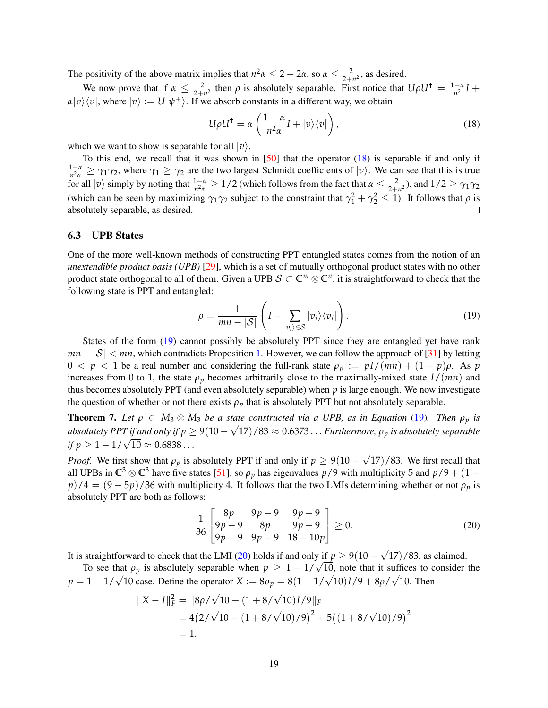The positivity of the above matrix implies that  $n^2 \alpha \leq 2 - 2\alpha$ , so  $\alpha \leq \frac{2}{2 + n^2}$ , as desired.

We now prove that if  $\alpha \leq \frac{2}{2+n^2}$  then  $\rho$  is absolutely separable. First notice that  $U\rho U^{\dagger} = \frac{1-\alpha}{n^2}I +$  $a|v\rangle\langle v|$ , where  $|v\rangle := U|\psi^{+}\rangle$ . If we absorb constants in a different way, we obtain

<span id="page-18-1"></span>
$$
U\rho U^{\dagger} = \alpha \left( \frac{1-\alpha}{n^2 \alpha} I + |v\rangle\langle v| \right),\tag{18}
$$

which we want to show is separable for all  $|v\rangle$ .

To this end, we recall that it was shown in [\[50\]](#page-22-9) that the operator [\(18\)](#page-18-1) is separable if and only if  $\frac{1-\alpha}{n^2\alpha} \geq \gamma_1\gamma_2$ , where  $\gamma_1 \geq \gamma_2$  are the two largest Schmidt coefficients of  $|v\rangle$ . We can see that this is true for all  $|v\rangle$  simply by noting that  $\frac{1-\alpha}{n^2\alpha} \ge 1/2$  (which follows from the fact that  $\alpha \le \frac{2}{2+n^2}$ ), and  $1/2 \ge \gamma_1\gamma_2$ (which can be seen by maximizing  $\gamma_1 \gamma_2$  subject to the constraint that  $\gamma_1^2 + \gamma_2^2 \le 1$ ). It follows that  $\rho$  is absolutely separable, as desired.

#### <span id="page-18-0"></span>6.3 UPB States

One of the more well-known methods of constructing PPT entangled states comes from the notion of an *unextendible product basis (UPB)* [\[29\]](#page-21-6), which is a set of mutually orthogonal product states with no other product state orthogonal to all of them. Given a UPB  $S \subset \mathbb{C}^m \otimes \mathbb{C}^n$ , it is straightforward to check that the following state is PPT and entangled:

<span id="page-18-2"></span>
$$
\rho = \frac{1}{mn - |\mathcal{S}|} \left( I - \sum_{|v_i\rangle \in \mathcal{S}} |v_i\rangle \langle v_i| \right). \tag{19}
$$

States of the form [\(19\)](#page-18-2) cannot possibly be absolutely PPT since they are entangled yet have rank  $mn - |\mathcal{S}| < mn$ , which contradicts Proposition [1.](#page-4-3) However, we can follow the approach of [\[31\]](#page-21-8) by letting  $0 < p < 1$  be a real number and considering the full-rank state  $\rho_p := pI/(mn) + (1 - p)\rho$ . As p increases from 0 to 1, the state  $\rho_p$  becomes arbitrarily close to the maximally-mixed state  $I/(mn)$  and thus becomes absolutely PPT (and even absolutely separable) when  $p$  is large enough. We now investigate the question of whether or not there exists  $\rho_p$  that is absolutely PPT but not absolutely separable.

<span id="page-18-4"></span>**Theorem 7.** Let  $\rho \in M_3 \otimes M_3$  be a state constructed via a UPB, as in Equation [\(19\)](#page-18-2). Then  $\rho_p$  is absolutely PPT if and only if  $p \geq 9(10-\sqrt{17})/83 \approx 0.6373\ldots$  *Furthermore,*  $\rho_p$  *is absolutely separable absolutely 1444 if*  $p \ge$   $\ge$  *if p*  $\ge$  1 − 1/ $\sqrt{10}$   $\approx$  0.6838... √

*Proof.* We first show that  $\rho_p$  is absolutely PPT if and only if  $p \ge 9(10 - 1)$ 17)/83. We first recall that all UPBs in  $\mathbb{C}^3 \otimes \mathbb{C}^3$  have five states [\[51\]](#page-22-10), so  $\rho_p$  has eigenvalues  $p/9$  with multiplicity 5 and  $p/9 + (1$  $p$ )/4 =  $(9-5p)$ /36 with multiplicity 4. It follows that the two LMIs determining whether or not  $\rho_p$  is absolutely PPT are both as follows:

<span id="page-18-3"></span>
$$
\frac{1}{36} \begin{bmatrix} 8p & 9p-9 & 9p-9 \ 9p-9 & 8p & 9p-9 \ 9p-9 & 9p-9 & 18-10p \end{bmatrix} \ge 0.
$$
 (20)

It is straightforward to check that the LMI [\(20\)](#page-18-3) holds if and only if  $p \ge 9(10 - 1)$ 17)/83, as claimed.

To see that  $\rho_p$  is absolutely separable when  $p \geq 1 - 1/\sqrt{10}$ , note that it suffices to consider the *p* = 1 − 1/ $\sqrt{10}$  case. Define the operator *X* :=  $8\rho_p = 8(1 - 1/\sqrt{10})I/9 + 8\rho/\sqrt{10}$ . Then

$$
||X - I||_F^2 = ||8\rho/\sqrt{10} - (1 + 8/\sqrt{10})I/9||_F
$$
  
= 4(2/\sqrt{10} - (1 + 8/\sqrt{10})/9)<sup>2</sup> + 5((1 + 8/\sqrt{10})/9)<sup>2</sup>  
= 1.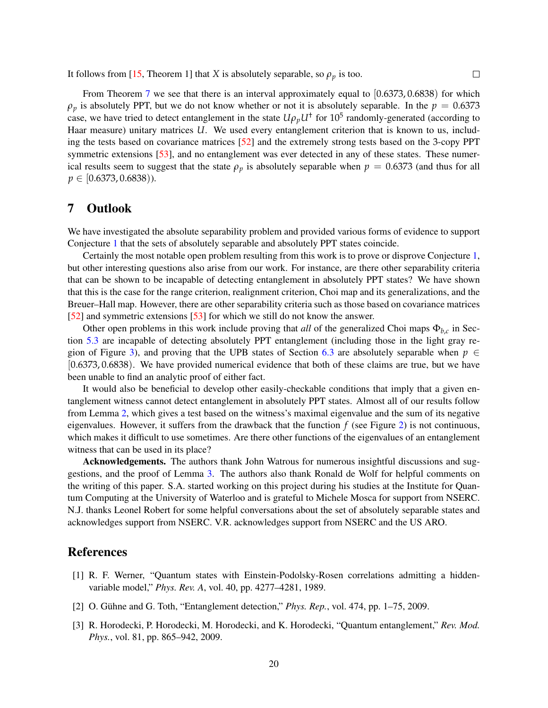It follows from [\[15,](#page-20-11) Theorem 1] that *X* is absolutely separable, so  $\rho_p$  is too.

From Theorem [7](#page-18-4) we see that there is an interval approximately equal to  $(0.6373, 0.6838)$  for which  $\rho_p$  is absolutely PPT, but we do not know whether or not it is absolutely separable. In the  $p = 0.6373$ case, we have tried to detect entanglement in the state  $U\rho_p U^{\dagger}$  for 10<sup>5</sup> randomly-generated (according to Haar measure) unitary matrices *U*. We used every entanglement criterion that is known to us, including the tests based on covariance matrices [\[52\]](#page-22-11) and the extremely strong tests based on the 3-copy PPT symmetric extensions [\[53\]](#page-22-12), and no entanglement was ever detected in any of these states. These numerical results seem to suggest that the state  $\rho_p$  is absolutely separable when  $p = 0.6373$  (and thus for all *p* ∈ [0.6373, 0.6838)).

 $\Box$ 

## <span id="page-19-3"></span>7 Outlook

We have investigated the absolute separability problem and provided various forms of evidence to support Conjecture [1](#page-4-2) that the sets of absolutely separable and absolutely PPT states coincide.

Certainly the most notable open problem resulting from this work is to prove or disprove Conjecture [1,](#page-4-2) but other interesting questions also arise from our work. For instance, are there other separability criteria that can be shown to be incapable of detecting entanglement in absolutely PPT states? We have shown that this is the case for the range criterion, realignment criterion, Choi map and its generalizations, and the Breuer–Hall map. However, there are other separability criteria such as those based on covariance matrices [\[52\]](#page-22-11) and symmetric extensions [\[53\]](#page-22-12) for which we still do not know the answer.

Other open problems in this work include proving that *all* of the generalized Choi maps  $\Phi_{b,c}$  in Section [5.3](#page-13-1) are incapable of detecting absolutely PPT entanglement (including those in the light gray re-gion of Figure [3\)](#page-13-0), and proving that the UPB states of Section [6.3](#page-18-0) are absolutely separable when  $p \in$ [0.6373, 0.6838). We have provided numerical evidence that both of these claims are true, but we have been unable to find an analytic proof of either fact.

It would also be beneficial to develop other easily-checkable conditions that imply that a given entanglement witness cannot detect entanglement in absolutely PPT states. Almost all of our results follow from Lemma [2,](#page-5-1) which gives a test based on the witness's maximal eigenvalue and the sum of its negative eigenvalues. However, it suffers from the drawback that the function *f* (see Figure [2\)](#page-6-0) is not continuous, which makes it difficult to use sometimes. Are there other functions of the eigenvalues of an entanglement witness that can be used in its place?

Acknowledgements. The authors thank John Watrous for numerous insightful discussions and suggestions, and the proof of Lemma [3.](#page-8-3) The authors also thank Ronald de Wolf for helpful comments on the writing of this paper. S.A. started working on this project during his studies at the Institute for Quantum Computing at the University of Waterloo and is grateful to Michele Mosca for support from NSERC. N.J. thanks Leonel Robert for some helpful conversations about the set of absolutely separable states and acknowledges support from NSERC. V.R. acknowledges support from NSERC and the US ARO.

## References

- <span id="page-19-0"></span>[1] R. F. Werner, "Quantum states with Einstein-Podolsky-Rosen correlations admitting a hiddenvariable model," *Phys. Rev. A*, vol. 40, pp. 4277–4281, 1989.
- <span id="page-19-1"></span>[2] O. Gühne and G. Toth, "Entanglement detection," *Phys. Rep.*, vol. 474, pp. 1–75, 2009.
- <span id="page-19-2"></span>[3] R. Horodecki, P. Horodecki, M. Horodecki, and K. Horodecki, "Quantum entanglement," *Rev. Mod. Phys.*, vol. 81, pp. 865–942, 2009.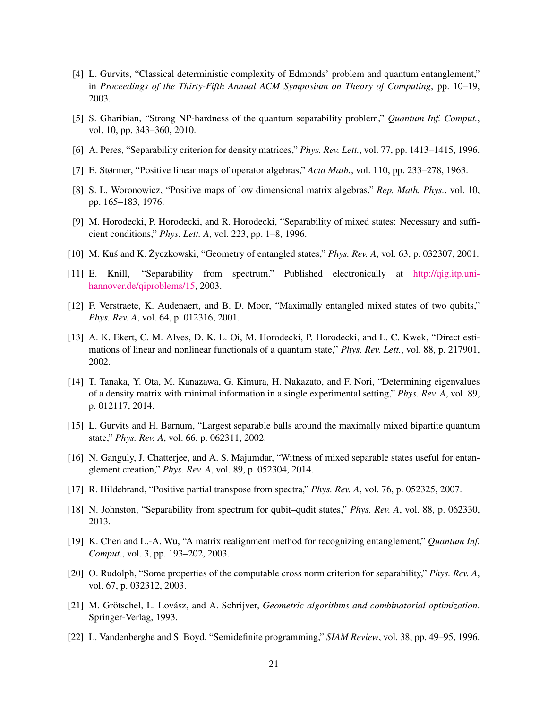- <span id="page-20-0"></span>[4] L. Gurvits, "Classical deterministic complexity of Edmonds' problem and quantum entanglement," in *Proceedings of the Thirty-Fifth Annual ACM Symposium on Theory of Computing*, pp. 10–19, 2003.
- <span id="page-20-1"></span>[5] S. Gharibian, "Strong NP-hardness of the quantum separability problem," *Quantum Inf. Comput.*, vol. 10, pp. 343–360, 2010.
- <span id="page-20-2"></span>[6] A. Peres, "Separability criterion for density matrices," *Phys. Rev. Lett.*, vol. 77, pp. 1413–1415, 1996.
- <span id="page-20-3"></span>[7] E. Størmer, "Positive linear maps of operator algebras," *Acta Math.*, vol. 110, pp. 233–278, 1963.
- <span id="page-20-4"></span>[8] S. L. Woronowicz, "Positive maps of low dimensional matrix algebras," *Rep. Math. Phys.*, vol. 10, pp. 165–183, 1976.
- <span id="page-20-5"></span>[9] M. Horodecki, P. Horodecki, and R. Horodecki, "Separability of mixed states: Necessary and sufficient conditions," *Phys. Lett. A*, vol. 223, pp. 1–8, 1996.
- <span id="page-20-6"></span>[10] M. Kus and K. Życzkowski, "Geometry of entangled states," *Phys. Rev. A*, vol. 63, p. 032307, 2001.
- <span id="page-20-7"></span>[11] E. Knill, "Separability from spectrum." Published electronically at [http://qig.itp.uni](http://qig.itp.uni-hannover.de/qiproblems/15)[hannover.de/qiproblems/15,](http://qig.itp.uni-hannover.de/qiproblems/15) 2003.
- <span id="page-20-8"></span>[12] F. Verstraete, K. Audenaert, and B. D. Moor, "Maximally entangled mixed states of two qubits," *Phys. Rev. A*, vol. 64, p. 012316, 2001.
- <span id="page-20-9"></span>[13] A. K. Ekert, C. M. Alves, D. K. L. Oi, M. Horodecki, P. Horodecki, and L. C. Kwek, "Direct estimations of linear and nonlinear functionals of a quantum state," *Phys. Rev. Lett.*, vol. 88, p. 217901, 2002.
- <span id="page-20-10"></span>[14] T. Tanaka, Y. Ota, M. Kanazawa, G. Kimura, H. Nakazato, and F. Nori, "Determining eigenvalues of a density matrix with minimal information in a single experimental setting," *Phys. Rev. A*, vol. 89, p. 012117, 2014.
- <span id="page-20-11"></span>[15] L. Gurvits and H. Barnum, "Largest separable balls around the maximally mixed bipartite quantum state," *Phys. Rev. A*, vol. 66, p. 062311, 2002.
- <span id="page-20-12"></span>[16] N. Ganguly, J. Chatterjee, and A. S. Majumdar, "Witness of mixed separable states useful for entanglement creation," *Phys. Rev. A*, vol. 89, p. 052304, 2014.
- <span id="page-20-13"></span>[17] R. Hildebrand, "Positive partial transpose from spectra," *Phys. Rev. A*, vol. 76, p. 052325, 2007.
- <span id="page-20-14"></span>[18] N. Johnston, "Separability from spectrum for qubit–qudit states," *Phys. Rev. A*, vol. 88, p. 062330, 2013.
- <span id="page-20-15"></span>[19] K. Chen and L.-A. Wu, "A matrix realignment method for recognizing entanglement," *Quantum Inf. Comput.*, vol. 3, pp. 193–202, 2003.
- <span id="page-20-16"></span>[20] O. Rudolph, "Some properties of the computable cross norm criterion for separability," *Phys. Rev. A*, vol. 67, p. 032312, 2003.
- <span id="page-20-17"></span>[21] M. Grötschel, L. Lovász, and A. Schrijver, *Geometric algorithms and combinatorial optimization*. Springer-Verlag, 1993.
- <span id="page-20-18"></span>[22] L. Vandenberghe and S. Boyd, "Semidefinite programming," *SIAM Review*, vol. 38, pp. 49–95, 1996.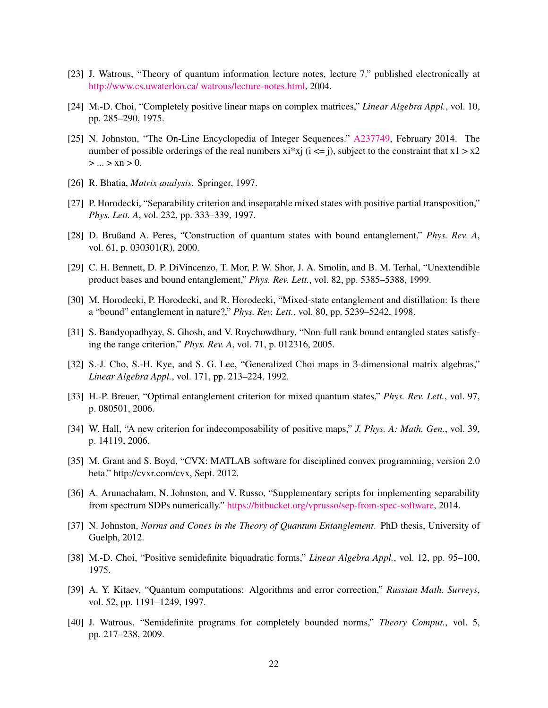- <span id="page-21-0"></span>[23] J. Watrous, "Theory of quantum information lecture notes, lecture 7." published electronically at [http://www.cs.uwaterloo.ca/ watrous/lecture-notes.html,](http://www.cs.uwaterloo.ca/~watrous/lecture-notes.html) 2004.
- <span id="page-21-1"></span>[24] M.-D. Choi, "Completely positive linear maps on complex matrices," *Linear Algebra Appl.*, vol. 10, pp. 285–290, 1975.
- <span id="page-21-2"></span>[25] N. Johnston, "The On-Line Encyclopedia of Integer Sequences." [A237749,](http://oeis.org/A237749) February 2014. The number of possible orderings of the real numbers  $x^i$  is  $i \leq j$ , subject to the constraint that  $x^j > x^2$  $> ... > xn > 0.$
- <span id="page-21-3"></span>[26] R. Bhatia, *Matrix analysis*. Springer, 1997.
- <span id="page-21-4"></span>[27] P. Horodecki, "Separability criterion and inseparable mixed states with positive partial transposition," *Phys. Lett. A*, vol. 232, pp. 333–339, 1997.
- <span id="page-21-5"></span>[28] D. Brußand A. Peres, "Construction of quantum states with bound entanglement," *Phys. Rev. A*, vol. 61, p. 030301(R), 2000.
- <span id="page-21-6"></span>[29] C. H. Bennett, D. P. DiVincenzo, T. Mor, P. W. Shor, J. A. Smolin, and B. M. Terhal, "Unextendible product bases and bound entanglement," *Phys. Rev. Lett.*, vol. 82, pp. 5385–5388, 1999.
- <span id="page-21-7"></span>[30] M. Horodecki, P. Horodecki, and R. Horodecki, "Mixed-state entanglement and distillation: Is there a "bound" entanglement in nature?," *Phys. Rev. Lett.*, vol. 80, pp. 5239–5242, 1998.
- <span id="page-21-8"></span>[31] S. Bandyopadhyay, S. Ghosh, and V. Roychowdhury, "Non-full rank bound entangled states satisfying the range criterion," *Phys. Rev. A*, vol. 71, p. 012316, 2005.
- <span id="page-21-9"></span>[32] S.-J. Cho, S.-H. Kye, and S. G. Lee, "Generalized Choi maps in 3-dimensional matrix algebras," *Linear Algebra Appl.*, vol. 171, pp. 213–224, 1992.
- <span id="page-21-10"></span>[33] H.-P. Breuer, "Optimal entanglement criterion for mixed quantum states," *Phys. Rev. Lett.*, vol. 97, p. 080501, 2006.
- <span id="page-21-11"></span>[34] W. Hall, "A new criterion for indecomposability of positive maps," *J. Phys. A: Math. Gen.*, vol. 39, p. 14119, 2006.
- <span id="page-21-12"></span>[35] M. Grant and S. Boyd, "CVX: MATLAB software for disciplined convex programming, version 2.0 beta." http://cvxr.com/cvx, Sept. 2012.
- <span id="page-21-13"></span>[36] A. Arunachalam, N. Johnston, and V. Russo, "Supplementary scripts for implementing separability from spectrum SDPs numerically." [https://bitbucket.org/vprusso/sep-from-spec-software,](https://bitbucket.org/vprusso/sep-from-spec-software) 2014.
- <span id="page-21-14"></span>[37] N. Johnston, *Norms and Cones in the Theory of Quantum Entanglement*. PhD thesis, University of Guelph, 2012.
- <span id="page-21-15"></span>[38] M.-D. Choi, "Positive semidefinite biquadratic forms," *Linear Algebra Appl.*, vol. 12, pp. 95–100, 1975.
- <span id="page-21-16"></span>[39] A. Y. Kitaev, "Quantum computations: Algorithms and error correction," *Russian Math. Surveys*, vol. 52, pp. 1191–1249, 1997.
- <span id="page-21-17"></span>[40] J. Watrous, "Semidefinite programs for completely bounded norms," *Theory Comput.*, vol. 5, pp. 217–238, 2009.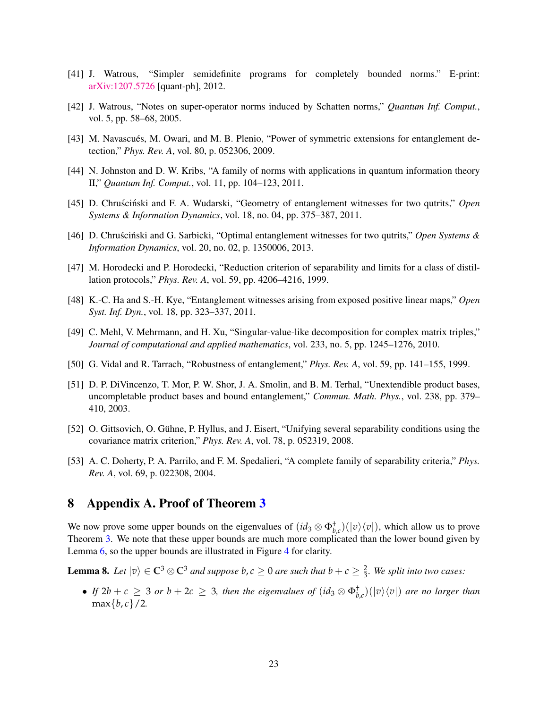- <span id="page-22-0"></span>[41] J. Watrous, "Simpler semidefinite programs for completely bounded norms." E-print: [arXiv:1207.5726](http://arxiv.org/abs/1207.5726) [quant-ph], 2012.
- <span id="page-22-1"></span>[42] J. Watrous, "Notes on super-operator norms induced by Schatten norms," *Quantum Inf. Comput.*, vol. 5, pp. 58–68, 2005.
- <span id="page-22-2"></span>[43] M. Navascués, M. Owari, and M. B. Plenio, "Power of symmetric extensions for entanglement detection," *Phys. Rev. A*, vol. 80, p. 052306, 2009.
- <span id="page-22-3"></span>[44] N. Johnston and D. W. Kribs, "A family of norms with applications in quantum information theory II," *Quantum Inf. Comput.*, vol. 11, pp. 104–123, 2011.
- <span id="page-22-4"></span>[45] D. Chruscinski and F. A. Wudarski, "Geometry of entanglement witnesses for two qutrits," Open *Systems & Information Dynamics*, vol. 18, no. 04, pp. 375–387, 2011.
- <span id="page-22-5"></span>[46] D. Chruscinski and G. Sarbicki, "Optimal entanglement witnesses for two qutrits," Open Systems & *Information Dynamics*, vol. 20, no. 02, p. 1350006, 2013.
- <span id="page-22-6"></span>[47] M. Horodecki and P. Horodecki, "Reduction criterion of separability and limits for a class of distillation protocols," *Phys. Rev. A*, vol. 59, pp. 4206–4216, 1999.
- <span id="page-22-7"></span>[48] K.-C. Ha and S.-H. Kye, "Entanglement witnesses arising from exposed positive linear maps," *Open Syst. Inf. Dyn.*, vol. 18, pp. 323–337, 2011.
- <span id="page-22-8"></span>[49] C. Mehl, V. Mehrmann, and H. Xu, "Singular-value-like decomposition for complex matrix triples," *Journal of computational and applied mathematics*, vol. 233, no. 5, pp. 1245–1276, 2010.
- <span id="page-22-9"></span>[50] G. Vidal and R. Tarrach, "Robustness of entanglement," *Phys. Rev. A*, vol. 59, pp. 141–155, 1999.
- <span id="page-22-10"></span>[51] D. P. DiVincenzo, T. Mor, P. W. Shor, J. A. Smolin, and B. M. Terhal, "Unextendible product bases, uncompletable product bases and bound entanglement," *Commun. Math. Phys.*, vol. 238, pp. 379– 410, 2003.
- <span id="page-22-11"></span>[52] O. Gittsovich, O. Gühne, P. Hyllus, and J. Eisert, "Unifying several separability conditions using the covariance matrix criterion," *Phys. Rev. A*, vol. 78, p. 052319, 2008.
- <span id="page-22-12"></span>[53] A. C. Doherty, P. A. Parrilo, and F. M. Spedalieri, "A complete family of separability criteria," *Phys. Rev. A*, vol. 69, p. 022308, 2004.

## 8 Appendix A. Proof of Theorem [3](#page-14-0)

We now prove some upper bounds on the eigenvalues of  $(id_3 \otimes \Phi_{b,c}^+)(|v\rangle\langle v|)$ , which allow us to prove Theorem [3.](#page-14-0) We note that these upper bounds are much more complicated than the lower bound given by Lemma [6,](#page-14-1) so the upper bounds are illustrated in Figure [4](#page-23-0) for clarity.

<span id="page-22-13"></span>**Lemma 8.** Let  $|v\rangle \in \mathbb{C}^3 \otimes \mathbb{C}^3$  *and suppose*  $b, c \ge 0$  *are such that*  $b + c \ge \frac{2}{3}$ *. We split into two cases:* 

• *If*  $2b + c \ge 3$  *or*  $b + 2c \ge 3$ *, then the eigenvalues of*  $(id_3 \otimes \Phi_{b,c}^{\dagger})(|v\rangle\langle v|)$  *are no larger than*  $max{b, c}/2.$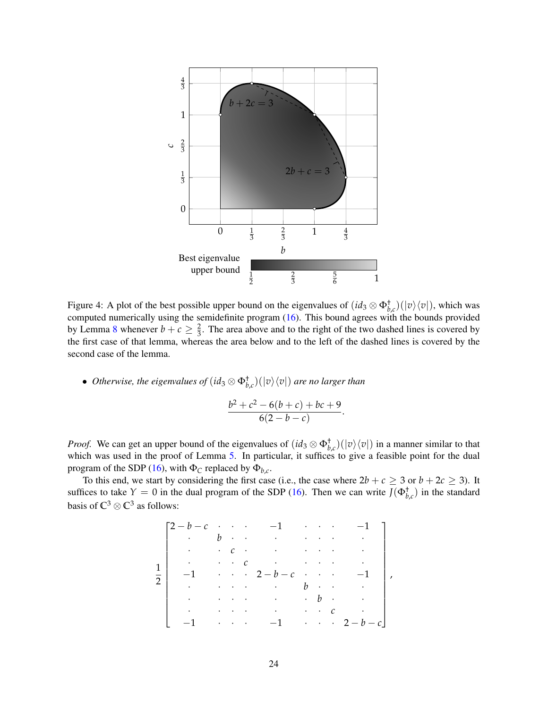

<span id="page-23-0"></span>Figure 4: A plot of the best possible upper bound on the eigenvalues of  $(id_3 \otimes \Phi_{b,c}^+)(|v\rangle\langle v|)$ , which was computed numerically using the semidefinite program [\(16\)](#page-12-2). This bound agrees with the bounds provided by Lemma [8](#page-22-13) whenever  $b + c \geq \frac{2}{3}$ . The area above and to the right of the two dashed lines is covered by the first case of that lemma, whereas the area below and to the left of the dashed lines is covered by the second case of the lemma.

• *Otherwise, the eigenvalues of*  $(id_3 \otimes \Phi_{b,c}^{\dagger})(|v\rangle\langle v|)$  *are no larger than* 

$$
\frac{b^2+c^2-6(b+c)+bc+9}{6(2-b-c)}.
$$

*Proof.* We can get an upper bound of the eigenvalues of  $(id_3 \otimes \Phi_{b,c}^{\dagger})(|v\rangle\langle v|)$  in a manner similar to that which was used in the proof of Lemma [5.](#page-10-2) In particular, it suffices to give a feasible point for the dual program of the SDP [\(16\)](#page-12-2), with  $\Phi_C$  replaced by  $\Phi_{b,c}$ .

To this end, we start by considering the first case (i.e., the case where  $2b + c \ge 3$  or  $b + 2c \ge 3$ ). It suffices to take  $Y = 0$  in the dual program of the SDP [\(16\)](#page-12-2). Then we can write  $J(\Phi_{b,c}^{\dagger})$  in the standard basis of  $\mathbb{C}^3 \otimes \mathbb{C}^3$  as follows:

$$
\left[\begin{matrix}2-b-c&\cdot&\cdot&\cdot&-1&\cdot&\cdot&-1\\ \cdot&b&\cdot&\cdot&\cdot&\cdot&\cdot&\cdot\\ \cdot&\cdot&c&\cdot&\cdot&\cdot&\cdot&\cdot\\ \cdot&\cdot&\cdot&c&\cdot&\cdot&\cdot&\cdot\\ -1&\cdot&\cdot&\cdot&2-b-c&\cdot&\cdot&-1\\ \cdot&\cdot&\cdot&\cdot&\cdot&\cdot&b&\cdot&\cdot\\ \cdot&\cdot&\cdot&\cdot&\cdot&\cdot&\cdot&c&\cdot\\ -1&\cdot&\cdot&\cdot&-1&\cdot&\cdot&2-b-c\end{matrix}\right],
$$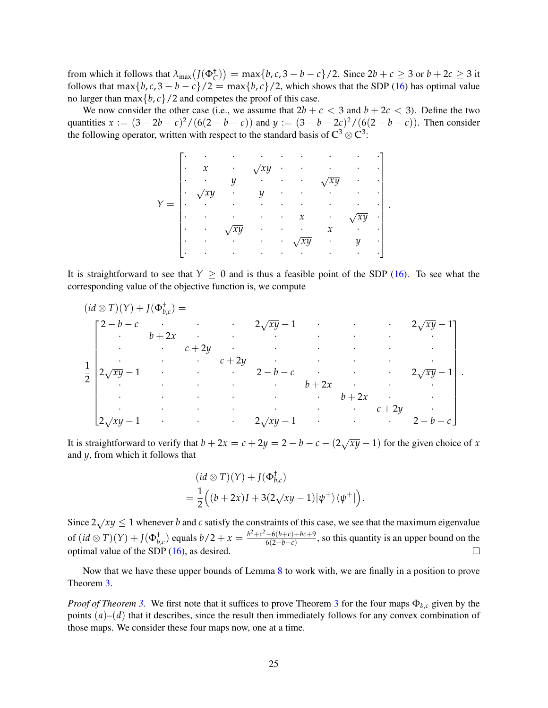from which it follows that  $\lambda_{\max}(J(\Phi_C^{\dagger})) = \max\{b, c, 3 - b - c\}/2$ . Since  $2b + c \geq 3$  or  $b + 2c \geq 3$  it follows that max ${b, c, 3 - b - c}/2 = \max{b, c}/2$ , which shows that the SDP [\(16\)](#page-12-2) has optimal value no larger than  $\max\{b, c\}$  /2 and competes the proof of this case.

We now consider the other case (i.e., we assume that  $2b + c < 3$  and  $b + 2c < 3$ ). Define the two quantities  $x := (3 - 2b - c)^2 / (6(2 - b - c))$  and  $y := (3 - b - 2c)^2 / (6(2 - b - c))$ . Then consider the following operator, written with respect to the standard basis of  $\mathbb{C}^3 \otimes \mathbb{C}^3$ :

| $\bullet$ | $\mathbf v$<br>И | ٠                |               |   | ٠             |        | ٠ | ٠ |  |
|-----------|------------------|------------------|---------------|---|---------------|--------|---|---|--|
| ٠         | ٠                | $\boldsymbol{u}$ |               |   | ٠             |        |   | ٠ |  |
|           |                  |                  | $\mathcal{U}$ | ٠ |               |        |   |   |  |
|           |                  |                  |               | ٠ | ٠             |        |   | ٠ |  |
|           |                  |                  |               | ٠ | $\mathcal{X}$ |        |   |   |  |
| ٠         | ٠                |                  |               |   |               | $\chi$ | ٠ |   |  |
| ٠         | ٠                |                  |               | ٠ |               | ٠      |   | ٠ |  |
| $\bullet$ |                  |                  |               | ٠ |               | ٠      | ٠ | ٠ |  |

It is straightforward to see that  $Y \ge 0$  and is thus a feasible point of the SDP [\(16\)](#page-12-2). To see what the corresponding value of the objective function is, we compute

| $(id \otimes T)(Y) + J(\Phi_{b,c}^{\dagger}) =$ |                                                         |                                           |                          |                                                                                                                                                                                                                                    |                                                                 |  |  |            |           |  |
|-------------------------------------------------|---------------------------------------------------------|-------------------------------------------|--------------------------|------------------------------------------------------------------------------------------------------------------------------------------------------------------------------------------------------------------------------------|-----------------------------------------------------------------|--|--|------------|-----------|--|
|                                                 | $\Gamma 2-b-c$                                          |                                           |                          |                                                                                                                                                                                                                                    | $2\sqrt{xy}-1$ $2\sqrt{xy}-1$                                   |  |  |            |           |  |
|                                                 | $\mathcal{L}^{\text{max}}$ , $\mathcal{L}^{\text{max}}$ | $b+2x$ .                                  |                          |                                                                                                                                                                                                                                    | the contract of the contract of the contract of the contract of |  |  |            |           |  |
| $\bullet$<br>$\overline{2}$                     |                                                         | $\mathcal{L}^{\text{max}}_{\text{max}}$ . |                          |                                                                                                                                                                                                                                    | $c+2y$                                                          |  |  |            |           |  |
|                                                 |                                                         | $\sim 10^{-11}$                           | <b>Contract Contract</b> |                                                                                                                                                                                                                                    | $c+2y$                                                          |  |  |            |           |  |
|                                                 |                                                         |                                           |                          |                                                                                                                                                                                                                                    | $2\sqrt{xy}-1$ and $2-b-c$ and $2\sqrt{xy}-1$                   |  |  |            |           |  |
|                                                 |                                                         |                                           |                          |                                                                                                                                                                                                                                    | $b+2x$ .                                                        |  |  |            |           |  |
|                                                 |                                                         |                                           |                          |                                                                                                                                                                                                                                    |                                                                 |  |  |            | $\bullet$ |  |
|                                                 |                                                         |                                           |                          | $\bullet$ . The contract of the contract of the contract of the contract of the contract of the contract of the contract of the contract of the contract of the contract of the contract of the contract of the contract of the co | $\sim$ 10 $\pm$                                                 |  |  | $c + 2y$ . |           |  |
|                                                 | $\lfloor 2\sqrt{xy}-1 \rfloor$                          |                                           |                          |                                                                                                                                                                                                                                    | $2\sqrt{xy}-1$ $2-b-c$                                          |  |  |            |           |  |

It is straightforward to verify that  $b + 2x = c + 2y = 2 - b - c - (2\sqrt{xy} - 1)$  for the given choice of *x* and *y*, from which it follows that

$$
(id \otimes T)(Y) + J(\Phi_{b,c}^{\dagger})
$$
  
=  $\frac{1}{2} ((b+2x)I + 3(2\sqrt{xy} - 1)|\psi^{+}\rangle\langle\psi^{+}|).$ 

Since  $2\sqrt{xy} \le 1$  whenever *b* and *c* satisfy the constraints of this case, we see that the maximum eigenvalue of  $(id \otimes T)(Y) + J(\Phi_{b,c}^{\dagger})$  equals  $b/2 + x = \frac{b^2 + c^2 - 6(b+c) + bc + 9}{6(2-b-c)}$  $\frac{-6(b+c)+bc+9}{6(2-b-c)}$ , so this quantity is an upper bound on the optimal value of the SDP [\(16\)](#page-12-2), as desired.  $\Box$ 

Now that we have these upper bounds of Lemma [8](#page-22-13) to work with, we are finally in a position to prove Theorem [3.](#page-14-0)

*Proof of Theorem [3.](#page-14-0)* We first note that it suffices to prove Theorem [3](#page-14-0) for the four maps Φ*b*,*<sup>c</sup>* given by the points  $(a)$ – $(d)$  that it describes, since the result then immediately follows for any convex combination of those maps. We consider these four maps now, one at a time.